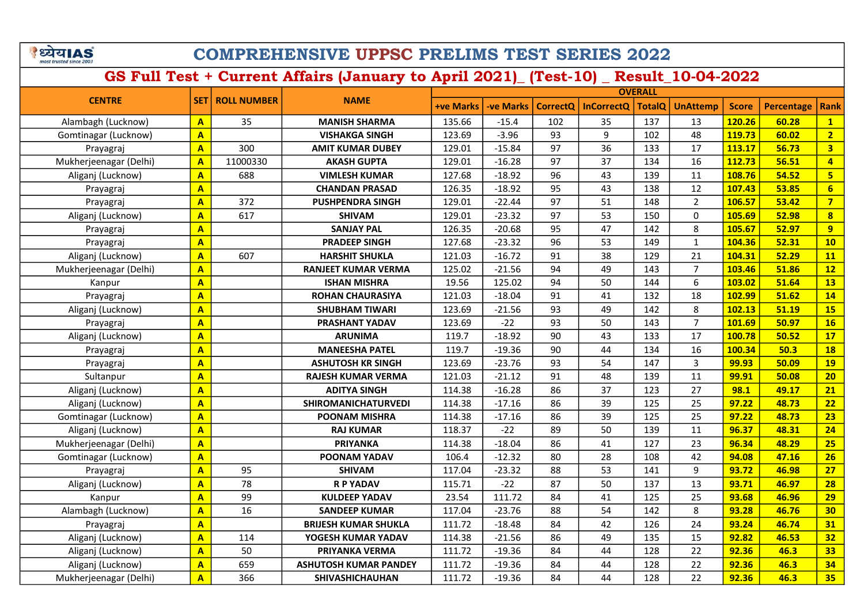# COMPREHENSIVE UPPSC PRELIMS TEST SERIES 2022

|                        |                         |                    |                              |           | <b>OVERALL</b>   |                 |                   |               |                 |              |            |                         |  |
|------------------------|-------------------------|--------------------|------------------------------|-----------|------------------|-----------------|-------------------|---------------|-----------------|--------------|------------|-------------------------|--|
| <b>CENTRE</b>          | <b>SET</b>              | <b>ROLL NUMBER</b> | <b>NAME</b>                  | +ve Marks | <b>-ve Marks</b> | <b>CorrectQ</b> | <b>InCorrectQ</b> | <b>TotalQ</b> | <b>UnAttemp</b> | <b>Score</b> | Percentage | <b>Rank</b>             |  |
| Alambagh (Lucknow)     | A                       | 35                 | <b>MANISH SHARMA</b>         | 135.66    | $-15.4$          | 102             | 35                | 137           | 13              | 120.26       | 60.28      | $\mathbf{1}$            |  |
| Gomtinagar (Lucknow)   | $\overline{\mathsf{A}}$ |                    | <b>VISHAKGA SINGH</b>        | 123.69    | $-3.96$          | 93              | 9                 | 102           | 48              | 119.73       | 60.02      | $\overline{2}$          |  |
| Prayagraj              | $\overline{A}$          | 300                | <b>AMIT KUMAR DUBEY</b>      | 129.01    | $-15.84$         | 97              | 36                | 133           | 17              | 113.17       | 56.73      | $\overline{\mathbf{3}}$ |  |
| Mukherjeenagar (Delhi) | $\overline{\mathsf{A}}$ | 11000330           | <b>AKASH GUPTA</b>           | 129.01    | $-16.28$         | 97              | 37                | 134           | 16              | 112.73       | 56.51      | $\overline{4}$          |  |
| Aliganj (Lucknow)      | $\overline{\mathbf{A}}$ | 688                | <b>VIMLESH KUMAR</b>         | 127.68    | $-18.92$         | 96              | 43                | 139           | 11              | 108.76       | 54.52      | $\overline{\mathbf{5}}$ |  |
| Prayagraj              | $\overline{\mathsf{A}}$ |                    | <b>CHANDAN PRASAD</b>        | 126.35    | $-18.92$         | 95              | 43                | 138           | 12              | 107.43       | 53.85      | $6\overline{6}$         |  |
| Prayagraj              | $\overline{\mathbf{A}}$ | 372                | <b>PUSHPENDRA SINGH</b>      | 129.01    | $-22.44$         | 97              | 51                | 148           | $\overline{2}$  | 106.57       | 53.42      | $\overline{7}$          |  |
| Aliganj (Lucknow)      | A                       | 617                | <b>SHIVAM</b>                | 129.01    | $-23.32$         | 97              | 53                | 150           | 0               | 105.69       | 52.98      | $\overline{\mathbf{8}}$ |  |
| Prayagraj              | A                       |                    | <b>SANJAY PAL</b>            | 126.35    | $-20.68$         | 95              | 47                | 142           | 8               | 105.67       | 52.97      | 9                       |  |
| Prayagraj              | $\overline{\mathbf{A}}$ |                    | <b>PRADEEP SINGH</b>         | 127.68    | $-23.32$         | 96              | 53                | 149           | $\mathbf{1}$    | 104.36       | 52.31      | 10                      |  |
| Aliganj (Lucknow)      | A                       | 607                | <b>HARSHIT SHUKLA</b>        | 121.03    | $-16.72$         | 91              | 38                | 129           | 21              | 104.31       | 52.29      | 11                      |  |
| Mukherjeenagar (Delhi) | A                       |                    | <b>RANJEET KUMAR VERMA</b>   | 125.02    | $-21.56$         | 94              | 49                | 143           | $\overline{7}$  | 103.46       | 51.86      | 12                      |  |
| Kanpur                 | $\overline{A}$          |                    | <b>ISHAN MISHRA</b>          | 19.56     | 125.02           | 94              | 50                | 144           | 6               | 103.02       | 51.64      | 13                      |  |
| Prayagraj              | A                       |                    | <b>ROHAN CHAURASIYA</b>      | 121.03    | $-18.04$         | 91              | 41                | 132           | 18              | 102.99       | 51.62      | 14                      |  |
| Aliganj (Lucknow)      | A                       |                    | <b>SHUBHAM TIWARI</b>        | 123.69    | $-21.56$         | 93              | 49                | 142           | 8               | 102.13       | 51.19      | <b>15</b>               |  |
| Prayagraj              | A                       |                    | PRASHANT YADAV               | 123.69    | $-22$            | 93              | 50                | 143           | $\overline{7}$  | 101.69       | 50.97      | <b>16</b>               |  |
| Aliganj (Lucknow)      | A                       |                    | <b>ARUNIMA</b>               | 119.7     | $-18.92$         | 90              | 43                | 133           | 17              | 100.78       | 50.52      | 17                      |  |
| Prayagraj              | A                       |                    | <b>MANEESHA PATEL</b>        | 119.7     | $-19.36$         | 90              | 44                | 134           | 16              | 100.34       | 50.3       | <b>18</b>               |  |
| Prayagraj              | A                       |                    | <b>ASHUTOSH KR SINGH</b>     | 123.69    | $-23.76$         | 93              | 54                | 147           | 3               | 99.93        | 50.09      | <b>19</b>               |  |
| Sultanpur              | A                       |                    | <b>RAJESH KUMAR VERMA</b>    | 121.03    | $-21.12$         | 91              | 48                | 139           | 11              | 99.91        | 50.08      | 20                      |  |
| Aliganj (Lucknow)      | $\overline{\mathsf{A}}$ |                    | <b>ADITYA SINGH</b>          | 114.38    | $-16.28$         | 86              | 37                | 123           | 27              | 98.1         | 49.17      | 21                      |  |
| Aliganj (Lucknow)      | $\overline{\mathsf{A}}$ |                    | <b>SHIROMANICHATURVEDI</b>   | 114.38    | $-17.16$         | 86              | 39                | 125           | 25              | 97.22        | 48.73      | 22                      |  |
| Gomtinagar (Lucknow)   | A                       |                    | <b>POONAM MISHRA</b>         | 114.38    | $-17.16$         | 86              | 39                | 125           | 25              | 97.22        | 48.73      | 23                      |  |
| Aliganj (Lucknow)      | A                       |                    | <b>RAJ KUMAR</b>             | 118.37    | $-22$            | 89              | 50                | 139           | 11              | 96.37        | 48.31      | 24                      |  |
| Mukherjeenagar (Delhi) | A                       |                    | <b>PRIYANKA</b>              | 114.38    | $-18.04$         | 86              | 41                | 127           | 23              | 96.34        | 48.29      | 25                      |  |
| Gomtinagar (Lucknow)   | $\overline{\mathsf{A}}$ |                    | POONAM YADAV                 | 106.4     | $-12.32$         | 80              | 28                | 108           | 42              | 94.08        | 47.16      | 26                      |  |
| Prayagraj              | A                       | 95                 | <b>SHIVAM</b>                | 117.04    | $-23.32$         | 88              | 53                | 141           | 9               | 93.72        | 46.98      | 27                      |  |
| Aliganj (Lucknow)      | A                       | 78                 | <b>R P YADAV</b>             | 115.71    | $-22$            | 87              | 50                | 137           | 13              | 93.71        | 46.97      | 28                      |  |
| Kanpur                 | A                       | 99                 | <b>KULDEEP YADAV</b>         | 23.54     | 111.72           | 84              | 41                | 125           | 25              | 93.68        | 46.96      | 29                      |  |
| Alambagh (Lucknow)     | $\overline{\mathsf{A}}$ | 16                 | <b>SANDEEP KUMAR</b>         | 117.04    | $-23.76$         | 88              | 54                | 142           | 8               | 93.28        | 46.76      | 30                      |  |
| Prayagraj              | $\mathbf{A}$            |                    | <b>BRIJESH KUMAR SHUKLA</b>  | 111.72    | $-18.48$         | 84              | 42                | 126           | 24              | 93.24        | 46.74      | 31                      |  |
| Aliganj (Lucknow)      | $\overline{\mathsf{A}}$ | 114                | YOGESH KUMAR YADAV           | 114.38    | $-21.56$         | 86              | 49                | 135           | 15              | 92.82        | 46.53      | 32                      |  |
| Aliganj (Lucknow)      | A                       | 50                 | PRIYANKA VERMA               | 111.72    | $-19.36$         | 84              | 44                | 128           | 22              | 92.36        | 46.3       | 33                      |  |
| Aliganj (Lucknow)      | A                       | 659                | <b>ASHUTOSH KUMAR PANDEY</b> | 111.72    | $-19.36$         | 84              | 44                | 128           | 22              | 92.36        | 46.3       | 34                      |  |
| Mukherjeenagar (Delhi) | A                       | 366                | SHIVASHICHAUHAN              | 111.72    | $-19.36$         | 84              | 44                | 128           | 22              | 92.36        | 46.3       | 35                      |  |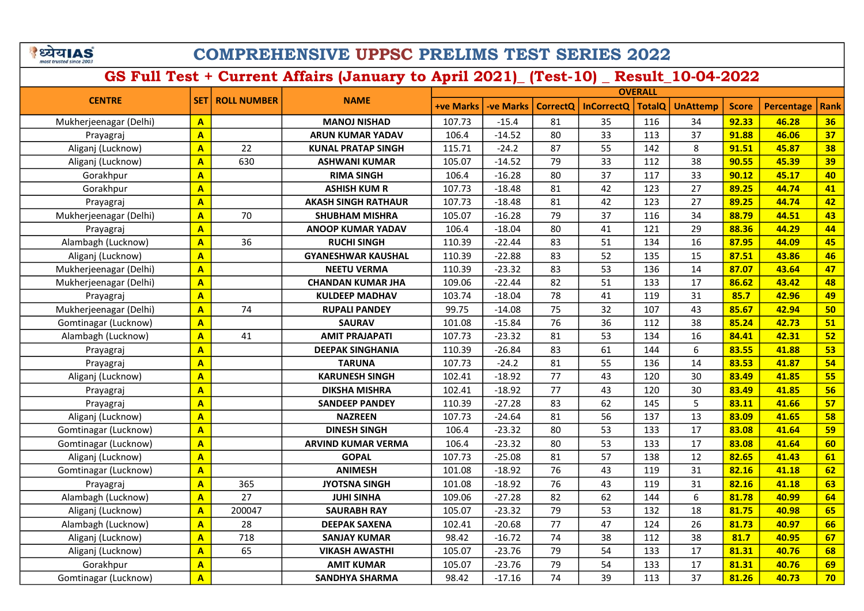# COMPREHENSIVE UPPSC PRELIMS TEST SERIES 2022

|                        | <b>OVERALL</b>          |                          |                            |                  |                  |                 |                   |               |                 |              |            |             |
|------------------------|-------------------------|--------------------------|----------------------------|------------------|------------------|-----------------|-------------------|---------------|-----------------|--------------|------------|-------------|
| <b>CENTRE</b>          |                         | <b>SET   ROLL NUMBER</b> | <b>NAME</b>                | <b>+ve Marks</b> | <b>-ve Marks</b> | <b>CorrectQ</b> | <b>InCorrectQ</b> | <b>TotalQ</b> | <b>UnAttemp</b> | <b>Score</b> | Percentage | <b>Rank</b> |
| Mukherjeenagar (Delhi) | $\mathbf{A}$            |                          | <b>MANOJ NISHAD</b>        | 107.73           | $-15.4$          | 81              | 35                | 116           | 34              | 92.33        | 46.28      | 36          |
| Prayagraj              | $\overline{\mathsf{A}}$ |                          | <b>ARUN KUMAR YADAV</b>    | 106.4            | $-14.52$         | 80              | 33                | 113           | 37              | 91.88        | 46.06      | 37          |
| Aliganj (Lucknow)      | $\overline{\mathsf{A}}$ | 22                       | <b>KUNAL PRATAP SINGH</b>  | 115.71           | $-24.2$          | 87              | 55                | 142           | 8               | 91.51        | 45.87      | 38          |
| Aliganj (Lucknow)      | $\overline{\mathsf{A}}$ | 630                      | <b>ASHWANI KUMAR</b>       | 105.07           | $-14.52$         | 79              | 33                | 112           | 38              | 90.55        | 45.39      | 39          |
| Gorakhpur              | $\overline{\mathsf{A}}$ |                          | <b>RIMA SINGH</b>          | 106.4            | $-16.28$         | 80              | 37                | 117           | 33              | 90.12        | 45.17      | 40          |
| Gorakhpur              | $\overline{\mathsf{A}}$ |                          | <b>ASHISH KUM R</b>        | 107.73           | $-18.48$         | 81              | 42                | 123           | 27              | 89.25        | 44.74      | 41          |
| Prayagraj              | $\mathbf{A}$            |                          | <b>AKASH SINGH RATHAUR</b> | 107.73           | $-18.48$         | 81              | 42                | 123           | 27              | 89.25        | 44.74      | 42          |
| Mukherjeenagar (Delhi) | $\mathbf{A}$            | 70                       | <b>SHUBHAM MISHRA</b>      | 105.07           | $-16.28$         | 79              | 37                | 116           | 34              | 88.79        | 44.51      | 43          |
| Prayagraj              | $\mathbf{A}$            |                          | <b>ANOOP KUMAR YADAV</b>   | 106.4            | $-18.04$         | 80              | 41                | 121           | 29              | 88.36        | 44.29      | 44          |
| Alambagh (Lucknow)     | $\overline{\mathsf{A}}$ | 36                       | <b>RUCHI SINGH</b>         | 110.39           | $-22.44$         | 83              | 51                | 134           | 16              | 87.95        | 44.09      | 45          |
| Aliganj (Lucknow)      | $\mathbf{A}$            |                          | <b>GYANESHWAR KAUSHAL</b>  | 110.39           | $-22.88$         | 83              | 52                | 135           | 15              | 87.51        | 43.86      | 46          |
| Mukherjeenagar (Delhi) | $\overline{\mathbf{A}}$ |                          | <b>NEETU VERMA</b>         | 110.39           | $-23.32$         | 83              | 53                | 136           | 14              | 87.07        | 43.64      | 47          |
| Mukherjeenagar (Delhi) | $\overline{A}$          |                          | <b>CHANDAN KUMAR JHA</b>   | 109.06           | $-22.44$         | 82              | 51                | 133           | 17              | 86.62        | 43.42      | 48          |
| Prayagraj              | $\overline{\mathbf{A}}$ |                          | <b>KULDEEP MADHAV</b>      | 103.74           | $-18.04$         | 78              | 41                | 119           | 31              | 85.7         | 42.96      | 49          |
| Mukherjeenagar (Delhi) | $\overline{\mathsf{A}}$ | 74                       | <b>RUPALI PANDEY</b>       | 99.75            | $-14.08$         | 75              | 32                | 107           | 43              | 85.67        | 42.94      | 50          |
| Gomtinagar (Lucknow)   | A                       |                          | <b>SAURAV</b>              | 101.08           | $-15.84$         | 76              | 36                | 112           | 38              | 85.24        | 42.73      | 51          |
| Alambagh (Lucknow)     | $\overline{\mathbf{A}}$ | 41                       | <b>AMIT PRAJAPATI</b>      | 107.73           | $-23.32$         | 81              | 53                | 134           | 16              | 84.41        | 42.31      | 52          |
| Prayagraj              | A                       |                          | <b>DEEPAK SINGHANIA</b>    | 110.39           | $-26.84$         | 83              | 61                | 144           | 6               | 83.55        | 41.88      | 53          |
| Prayagraj              | $\overline{\mathbf{A}}$ |                          | <b>TARUNA</b>              | 107.73           | $-24.2$          | 81              | 55                | 136           | 14              | 83.53        | 41.87      | 54          |
| Aliganj (Lucknow)      | $\overline{A}$          |                          | <b>KARUNESH SINGH</b>      | 102.41           | $-18.92$         | 77              | 43                | 120           | 30              | 83.49        | 41.85      | 55          |
| Prayagraj              | $\overline{\mathsf{A}}$ |                          | <b>DIKSHA MISHRA</b>       | 102.41           | $-18.92$         | 77              | 43                | 120           | 30              | 83.49        | 41.85      | 56          |
| Prayagraj              | $\overline{A}$          |                          | <b>SANDEEP PANDEY</b>      | 110.39           | $-27.28$         | 83              | 62                | 145           | 5               | 83.11        | 41.66      | 57          |
| Aliganj (Lucknow)      | $\overline{A}$          |                          | <b>NAZREEN</b>             | 107.73           | $-24.64$         | 81              | 56                | 137           | 13              | 83.09        | 41.65      | 58          |
| Gomtinagar (Lucknow)   | $\mathbf{A}$            |                          | <b>DINESH SINGH</b>        | 106.4            | $-23.32$         | 80              | 53                | 133           | 17              | 83.08        | 41.64      | 59          |
| Gomtinagar (Lucknow)   | $\overline{A}$          |                          | <b>ARVIND KUMAR VERMA</b>  | 106.4            | $-23.32$         | 80              | 53                | 133           | 17              | 83.08        | 41.64      | 60          |
| Aliganj (Lucknow)      | $\overline{A}$          |                          | <b>GOPAL</b>               | 107.73           | $-25.08$         | 81              | 57                | 138           | 12              | 82.65        | 41.43      | 61          |
| Gomtinagar (Lucknow)   | $\overline{\mathsf{A}}$ |                          | <b>ANIMESH</b>             | 101.08           | $-18.92$         | 76              | 43                | 119           | 31              | 82.16        | 41.18      | 62          |
| Prayagraj              | $\overline{\mathsf{A}}$ | 365                      | <b>JYOTSNA SINGH</b>       | 101.08           | $-18.92$         | 76              | 43                | 119           | 31              | 82.16        | 41.18      | 63          |
| Alambagh (Lucknow)     | $\overline{A}$          | 27                       | <b>JUHI SINHA</b>          | 109.06           | $-27.28$         | 82              | 62                | 144           | 6               | 81.78        | 40.99      | 64          |
| Aliganj (Lucknow)      | $\mathbf{A}$            | 200047                   | <b>SAURABH RAY</b>         | 105.07           | $-23.32$         | 79              | 53                | 132           | 18              | 81.75        | 40.98      | 65          |
| Alambagh (Lucknow)     | $\mathbf{A}$            | 28                       | <b>DEEPAK SAXENA</b>       | 102.41           | $-20.68$         | 77              | 47                | 124           | 26              | 81.73        | 40.97      | 66          |
| Aliganj (Lucknow)      | $\overline{A}$          | 718                      | <b>SANJAY KUMAR</b>        | 98.42            | $-16.72$         | 74              | 38                | 112           | 38              | 81.7         | 40.95      | 67          |
| Aliganj (Lucknow)      | $\mathbf{A}$            | 65                       | <b>VIKASH AWASTHI</b>      | 105.07           | $-23.76$         | 79              | 54                | 133           | 17              | 81.31        | 40.76      | 68          |
| Gorakhpur              | $\mathbf{A}$            |                          | <b>AMIT KUMAR</b>          | 105.07           | $-23.76$         | 79              | 54                | 133           | 17              | 81.31        | 40.76      | 69          |
| Gomtinagar (Lucknow)   | $\mathbf{A}$            |                          | <b>SANDHYA SHARMA</b>      | 98.42            | $-17.16$         | 74              | 39                | 113           | 37              | 81.26        | 40.73      | 70          |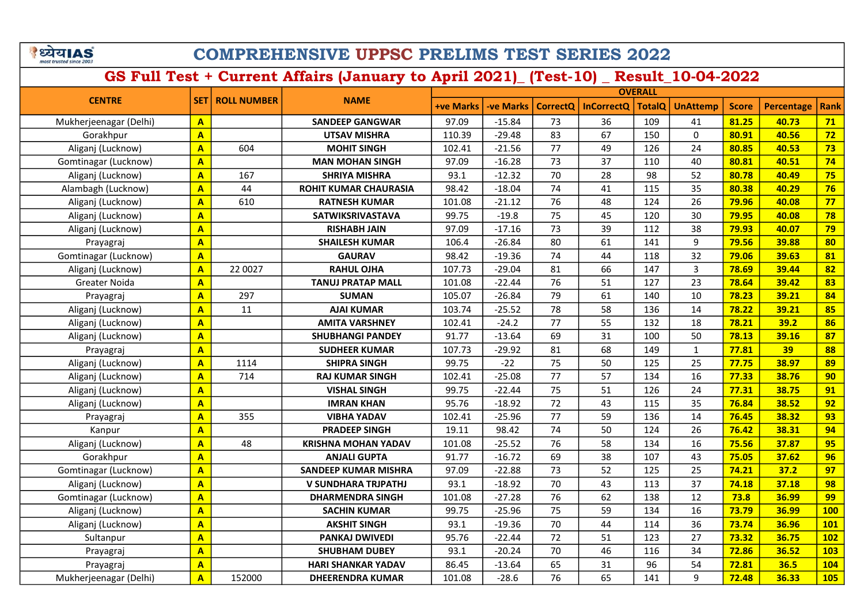|                         | ययIAS |
|-------------------------|-------|
| most trusted since 2003 |       |

|                        |                         |                    |                              |                  | <b>OVERALL</b>   |                 |                   |               |                 |              |                   |             |
|------------------------|-------------------------|--------------------|------------------------------|------------------|------------------|-----------------|-------------------|---------------|-----------------|--------------|-------------------|-------------|
| <b>CENTRE</b>          | <b>SET</b>              | <b>ROLL NUMBER</b> | <b>NAME</b>                  | <b>+ve Marks</b> | <b>-ve Marks</b> | <b>CorrectQ</b> | <b>InCorrectQ</b> | <b>TotalQ</b> | <b>UnAttemp</b> | <b>Score</b> | <b>Percentage</b> | <b>Rank</b> |
| Mukherjeenagar (Delhi) | $\mathbf{A}$            |                    | <b>SANDEEP GANGWAR</b>       | 97.09            | $-15.84$         | 73              | 36                | 109           | 41              | 81.25        | 40.73             | 71          |
| Gorakhpur              | A                       |                    | <b>UTSAV MISHRA</b>          | 110.39           | $-29.48$         | 83              | 67                | 150           | 0               | 80.91        | 40.56             | 72          |
| Aliganj (Lucknow)      | $\overline{\mathbf{A}}$ | 604                | <b>MOHIT SINGH</b>           | 102.41           | $-21.56$         | 77              | 49                | 126           | 24              | 80.85        | 40.53             | 73          |
| Gomtinagar (Lucknow)   | $\mathbf{A}$            |                    | <b>MAN MOHAN SINGH</b>       | 97.09            | $-16.28$         | 73              | 37                | 110           | 40              | 80.81        | 40.51             | 74          |
| Aliganj (Lucknow)      | $\overline{\mathbf{A}}$ | 167                | <b>SHRIYA MISHRA</b>         | 93.1             | $-12.32$         | 70              | 28                | 98            | 52              | 80.78        | 40.49             | 75          |
| Alambagh (Lucknow)     | $\mathbf{A}$            | 44                 | <b>ROHIT KUMAR CHAURASIA</b> | 98.42            | $-18.04$         | 74              | 41                | 115           | 35              | 80.38        | 40.29             | 76          |
| Aliganj (Lucknow)      | $\overline{\mathbf{A}}$ | 610                | <b>RATNESH KUMAR</b>         | 101.08           | $-21.12$         | 76              | 48                | 124           | 26              | 79.96        | 40.08             | 77          |
| Aliganj (Lucknow)      | $\overline{\mathbf{A}}$ |                    | SATWIKSRIVASTAVA             | 99.75            | $-19.8$          | 75              | 45                | 120           | 30              | 79.95        | 40.08             | 78          |
| Aliganj (Lucknow)      | $\overline{\mathbf{A}}$ |                    | <b>RISHABH JAIN</b>          | 97.09            | $-17.16$         | 73              | 39                | 112           | 38              | 79.93        | 40.07             | 79          |
| Prayagraj              | $\overline{\mathbf{A}}$ |                    | <b>SHAILESH KUMAR</b>        | 106.4            | $-26.84$         | 80              | 61                | 141           | 9               | 79.56        | 39.88             | 80          |
| Gomtinagar (Lucknow)   | $\overline{\mathbf{A}}$ |                    | <b>GAURAV</b>                | 98.42            | $-19.36$         | 74              | 44                | 118           | 32              | 79.06        | 39.63             | 81          |
| Aliganj (Lucknow)      | $\mathbf{A}$            | 22 0027            | <b>RAHUL OJHA</b>            | 107.73           | $-29.04$         | 81              | 66                | 147           | 3               | 78.69        | 39.44             | 82          |
| Greater Noida          | A                       |                    | <b>TANUJ PRATAP MALL</b>     | 101.08           | $-22.44$         | 76              | 51                | 127           | 23              | 78.64        | 39.42             | 83          |
| Prayagraj              | $\mathbf{A}$            | 297                | <b>SUMAN</b>                 | 105.07           | $-26.84$         | 79              | 61                | 140           | 10              | 78.23        | 39.21             | 84          |
| Aliganj (Lucknow)      | A                       | 11                 | <b>AJAI KUMAR</b>            | 103.74           | $-25.52$         | 78              | 58                | 136           | 14              | 78.22        | 39.21             | 85          |
| Aliganj (Lucknow)      | A                       |                    | <b>AMITA VARSHNEY</b>        | 102.41           | $-24.2$          | 77              | 55                | 132           | 18              | 78.21        | 39.2              | 86          |
| Aliganj (Lucknow)      | A                       |                    | <b>SHUBHANGI PANDEY</b>      | 91.77            | $-13.64$         | 69              | 31                | 100           | 50              | 78.13        | 39.16             | 87          |
| Prayagraj              | $\overline{\mathsf{A}}$ |                    | <b>SUDHEER KUMAR</b>         | 107.73           | $-29.92$         | 81              | 68                | 149           | $\mathbf{1}$    | 77.81        | 39                | 88          |
| Aliganj (Lucknow)      | $\overline{\mathsf{A}}$ | 1114               | <b>SHIPRA SINGH</b>          | 99.75            | $-22$            | 75              | 50                | 125           | 25              | 77.75        | 38.97             | 89          |
| Aliganj (Lucknow)      | $\overline{\mathsf{A}}$ | 714                | <b>RAJ KUMAR SINGH</b>       | 102.41           | $-25.08$         | 77              | 57                | 134           | 16              | 77.33        | 38.76             | 90          |
| Aliganj (Lucknow)      | $\overline{\mathsf{A}}$ |                    | <b>VISHAL SINGH</b>          | 99.75            | $-22.44$         | 75              | 51                | 126           | 24              | 77.31        | 38.75             | 91          |
| Aliganj (Lucknow)      | A                       |                    | <b>IMRAN KHAN</b>            | 95.76            | $-18.92$         | 72              | 43                | 115           | 35              | 76.84        | 38.52             | 92          |
| Prayagraj              | $\overline{\mathsf{A}}$ | 355                | <b>VIBHA YADAV</b>           | 102.41           | $-25.96$         | 77              | 59                | 136           | 14              | 76.45        | 38.32             | 93          |
| Kanpur                 | $\overline{\mathbf{A}}$ |                    | <b>PRADEEP SINGH</b>         | 19.11            | 98.42            | 74              | 50                | 124           | 26              | 76.42        | 38.31             | 94          |
| Aliganj (Lucknow)      | $\overline{\mathsf{A}}$ | 48                 | <b>KRISHNA MOHAN YADAV</b>   | 101.08           | $-25.52$         | 76              | 58                | 134           | 16              | 75.56        | 37.87             | 95          |
| Gorakhpur              | A                       |                    | <b>ANJALI GUPTA</b>          | 91.77            | $-16.72$         | 69              | 38                | 107           | 43              | 75.05        | 37.62             | 96          |
| Gomtinagar (Lucknow)   | A                       |                    | <b>SANDEEP KUMAR MISHRA</b>  | 97.09            | $-22.88$         | 73              | 52                | 125           | 25              | 74.21        | 37.2              | 97          |
| Aliganj (Lucknow)      | $\mathbf{A}$            |                    | V SUNDHARA TRJPATHJ          | 93.1             | $-18.92$         | 70              | 43                | 113           | 37              | 74.18        | 37.18             | 98          |
| Gomtinagar (Lucknow)   | $\overline{\mathsf{A}}$ |                    | <b>DHARMENDRA SINGH</b>      | 101.08           | $-27.28$         | 76              | 62                | 138           | 12              | 73.8         | 36.99             | 99          |
| Aliganj (Lucknow)      | $\mathbf{A}$            |                    | <b>SACHIN KUMAR</b>          | 99.75            | $-25.96$         | 75              | 59                | 134           | 16              | 73.79        | 36.99             | <b>100</b>  |
| Aliganj (Lucknow)      | $\overline{\mathsf{A}}$ |                    | <b>AKSHIT SINGH</b>          | 93.1             | $-19.36$         | 70              | 44                | 114           | 36              | 73.74        | 36.96             | <b>101</b>  |
| Sultanpur              | $\mathbf{A}$            |                    | <b>PANKAJ DWIVEDI</b>        | 95.76            | $-22.44$         | 72              | 51                | 123           | 27              | 73.32        | 36.75             | <b>102</b>  |
| Prayagraj              | $\overline{\mathbf{A}}$ |                    | <b>SHUBHAM DUBEY</b>         | 93.1             | $-20.24$         | 70              | 46                | 116           | 34              | 72.86        | 36.52             | <b>103</b>  |
| Prayagraj              | $\mathbf{A}$            |                    | <b>HARI SHANKAR YADAV</b>    | 86.45            | $-13.64$         | 65              | 31                | 96            | 54              | 72.81        | 36.5              | <b>104</b>  |
| Mukherjeenagar (Delhi) | A                       | 152000             | <b>DHEERENDRA KUMAR</b>      | 101.08           | $-28.6$          | 76              | 65                | 141           | 9               | 72.48        | 36.33             | 105         |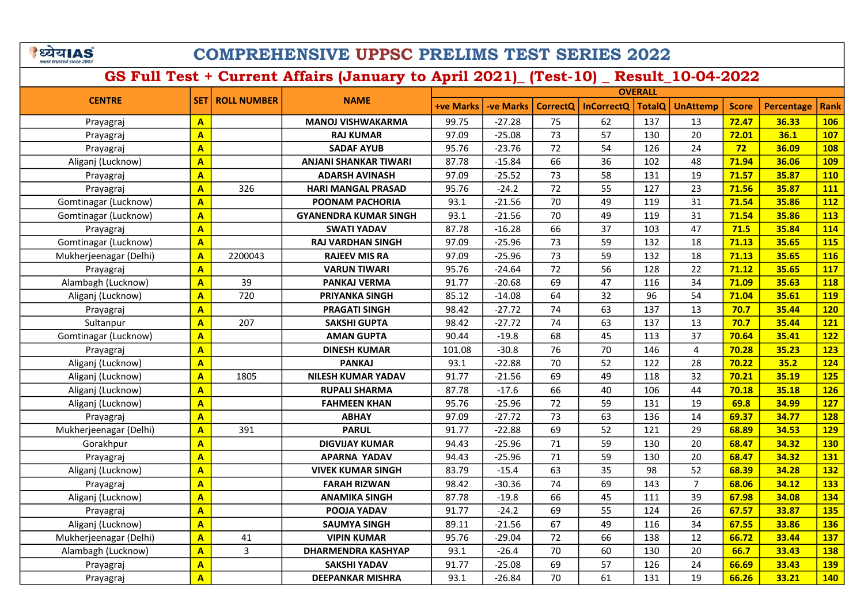ंध्येयIAS most tructed cir

## COMPREHENSIVE UPPSC PRELIMS TEST SERIES 2022

GS Full Test + Current Affairs (January to April 2021)\_ (Test-10) \_ Result\_10-04-2022

+ve Marks | -ve Marks | CorrectQ | InCorrectQ | TotalQ | UnAttemp | Score | Percentage | Rank **OVERALL** CENTRE SET ROLL NUMBER Prayagraj <mark>| A |</mark> || MANOJ VISHWAKARMA || 99.75 || -27.28 || 75 || 62 || 137 || 13 |<mark>| 72.47 | 36.33 || 106</mark> Prayagraj <mark>| A |</mark> | RAJ KUMAR | 97.09 | -25.08 | 73 | 57 | 130 | 20 <mark>| 72.01 | 36.1 | 107</mark> Prayagraj <mark>| A |</mark> | SADAF AYUB | 95.76 | -23.76 | 72 | 54 | 126 | 24 <mark>| 72 | 36.09 | 108</mark> Aliganj (Lucknow) <mark> A </mark> ANJANI SHANKAR TIWARI | 87.78 | -15.84 | 66 | 36 | 102 | 48 <mark>| 71.94 | 36.06 | 109</mark> Prayagraj <mark>| A |</mark> | ADARSH AVINASH | 97.09 | -25.52 | 73 | 58 | 131 | 19 <mark>| 71.57 | 35.87 | 110</mark> Prayagraj <mark>| A |</mark> 326 | HARI MANGAL PRASAD | 95.76 | -24.2 | 72 | 55 | 127 | 23 <mark>| 71.56 | 35.87 | 111</mark> Gomtinagar (Lucknow) A POONAM PACHORIA 93.1 -21.56 70 49 119 31 71.54 35.86 112 Gomtinagar (Lucknow) <mark> A </mark> G**YANENDRA KUMAR SINGH** 93.1 -21.56 70 49 119 31 <mark>71.54 35.86 113</mark> Prayagraj A SWATI YADAV 87.78 -16.28 66 37 103 47 71.5 35.84 114 Gomtinagar (Lucknow) <mark> A </mark> R**AJ VARDHAN SINGH** 97.09 -25.96 73 59 132 18 <mark>71.13 35.65 115</mark> Mukherjeenagar (Delhi) <mark>| A |</mark> 2200043 | **RAJEEV MIS RA | 97.09 | -25.96 | 73 | 59 | 132 | 18 <mark>| 71.13 | 35.65 | 116</mark>** Prayagraj <mark>| A |</mark> | VARUN TIWARI | 95.76 | -24.64 | 72 | 56 | 128 | 22 | <mark>71.12 | 35.65 | 117</mark> Alambagh (Lucknow) <mark>|A |</mark> 39 | **PANKAJ VERMA** | 91.77 | -20.68 | 69 | 47 | 116 | 34 <mark>| 71.09 | 35.63 | 118</mark> Aliganj (Lucknow) <mark> A </mark> 720 P**RIYANKA SINGH** | 85.12 | -14.08 | 64 | 32 | 96 | 54 <mark>| 71.04 | 35.61 | 119</mark> Prayagraj <mark>| A |</mark> | PRAGATI SINGH | 98.42 | -27.72 | 74 | 63 | 137 | 13 | <mark>70.7 | 35.44 | 120</mark> Sultanpur <mark>| A |</mark> 207 | SAKSHI GUPTA | 98.42 | -27.72 | 74 | 63 | 137 | 13 <mark>| 70.7 | 35.44 | 121</mark> Gomtinagar (Lucknow) <mark> A </mark> A**MAN GUPTA** 90.44 -19.8 68 45 113 37 <mark>70.64 35.41 122</mark> Prayagraj <mark>| A |</mark> | DINESH KUMAR | 101.08 | -30.8 | 76 | 70 | 146 | 4 <mark>| 70.28 | 35.23 | 123</mark> Aliganj (Lucknow) <mark> A |</mark> **PANKAJ** 93.1 -22.88 70 52 122 28 <mark>70.22 35.2 124</mark> Aliganj (Lucknow) <mark> A </mark> 1805 **NILESH KUMAR YADAV** 91.77 -21.56 69 49 118 32 <mark>70.21 35.19 125</mark> Aliganj (Lucknow) <mark> A </mark> R**UPALI SHARMA** 87.78 -17.6 66 40 106 44 <mark>70.18 35.18 126</mark> Aliganj (Lucknow) <mark> A |</mark> FAHMEEN KHAN | 95.76 | -25.96 | 72 | 59 | 131 | 19 <mark>| 69.8 | 34.99 | 127</mark> Prayagraj <mark>A |</mark> | ABHAY | 97.09 | -27.72 | 73 | 63 | 136 | 14 <mark>| 69.37 | 34.77 | 128</mark> Mukherjeenagar (Delhi) <mark>| A |</mark> 391 | **PARUL | 9**1.77 | -22.88 | 69 | 52 | 121 | 29 <mark>| 68.89 | 34.53 | 129</mark> Gorakhpur <mark>| A |</mark> | DIGVIJAY KUMAR | 94.43 | -25.96 | 71 | 59 | 130 | 20 <mark>| 68.47 | 34.32 | 130</mark> Prayagraj <mark>A AAPARNA YADAV 94.43 -25.96 71 59 130 20 68.47 34.32 131</mark> Aliganj (Lucknow) <mark>A A VIVEK KUMAR SINGH 83.79 -15.4 63 35 98 52 68.39 34.28 132</mark> Prayagraj A FARAH RIZWAN 98.42 -30.36 74 69 143 7 68.06 34.12 133 Aliganj (Lucknow) A ANAMIKA SINGH 87.78 -19.8 66 45 111 39 67.98 34.08 134 Prayagraj <mark>| A |</mark> | POOJA YADAV | 91.77 | -24.2 | 69 | 55 | 124 | 26 | <mark>67.57 | 33.87 | 135</mark> Aliganj (Lucknow) <mark> A </mark> SA**UMYA SINGH** 89.11 -21.56 67 49 116 34 <mark>67.55 33.86 136</mark> Mukherjeenagar (Delhi) <mark>| A |</mark> 41 | **VIPIN KUMAR | 9**5.76 | -29.04 | 72 | 66 | 138 | 12 <mark>| 66.72 | 33.44 | 137</mark> Alambagh (Lucknow) A 3 DHARMENDRA KASHYAP 93.1 -26.4 70 60 130 20 66.7 33.43 138 Prayagraj <mark>A A SAKSHI YADAV 91.77 -25.08 69 57 126 24 66.69 33.43 139</mark> Prayagraj <mark>A | DEEPANKAR MISHRA |</mark> 93.1 -26.84 70 | 61 | 131 | 19 <mark>| 66.26 | 33.21 | 140</mark>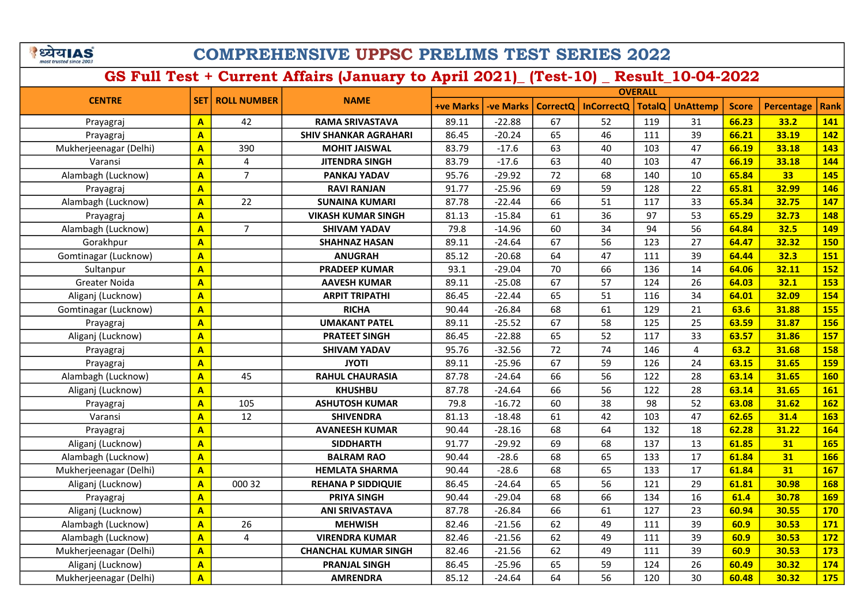| पय।A                    |  |
|-------------------------|--|
| most trusted since 2003 |  |

|                        |                         |                         |                              |                  | <b>OVERALL</b>  |                 |                   |               |                 |              |                   |             |
|------------------------|-------------------------|-------------------------|------------------------------|------------------|-----------------|-----------------|-------------------|---------------|-----------------|--------------|-------------------|-------------|
| <b>CENTRE</b>          | <b>SET</b>              | <b>ROLL NUMBER</b>      | <b>NAME</b>                  | <b>+ve Marks</b> | <b>ve Marks</b> | <b>CorrectQ</b> | <b>InCorrectQ</b> | <b>TotalQ</b> | <b>UnAttemp</b> | <b>Score</b> | <b>Percentage</b> | <b>Rank</b> |
| Prayagraj              | $\mathbf{A}$            | 42                      | <b>RAMA SRIVASTAVA</b>       | 89.11            | $-22.88$        | 67              | 52                | 119           | 31              | 66.23        | 33.2              | 141         |
| Prayagraj              | $\mathbf{A}$            |                         | <b>SHIV SHANKAR AGRAHARI</b> | 86.45            | $-20.24$        | 65              | 46                | 111           | 39              | 66.21        | 33.19             | 142         |
| Mukherjeenagar (Delhi) | $\mathbf{A}$            | 390                     | <b>MOHIT JAISWAL</b>         | 83.79            | $-17.6$         | 63              | 40                | 103           | 47              | 66.19        | 33.18             | 143         |
| Varansi                | $\overline{A}$          | 4                       | <b>JITENDRA SINGH</b>        | 83.79            | $-17.6$         | 63              | 40                | 103           | 47              | 66.19        | 33.18             | 144         |
| Alambagh (Lucknow)     | $\overline{\mathsf{A}}$ | $\overline{7}$          | PANKAJ YADAV                 | 95.76            | $-29.92$        | 72              | 68                | 140           | 10              | 65.84        | 33                | 145         |
| Prayagraj              | $\mathbf{A}$            |                         | <b>RAVI RANJAN</b>           | 91.77            | $-25.96$        | 69              | 59                | 128           | 22              | 65.81        | 32.99             | 146         |
| Alambagh (Lucknow)     | $\overline{\mathbf{A}}$ | 22                      | <b>SUNAINA KUMARI</b>        | 87.78            | $-22.44$        | 66              | 51                | 117           | 33              | 65.34        | 32.75             | 147         |
| Prayagraj              | $\overline{\mathbf{A}}$ |                         | <b>VIKASH KUMAR SINGH</b>    | 81.13            | $-15.84$        | 61              | 36                | 97            | 53              | 65.29        | 32.73             | 148         |
| Alambagh (Lucknow)     | $\overline{\mathbf{A}}$ | $\overline{7}$          | <b>SHIVAM YADAV</b>          | 79.8             | $-14.96$        | 60              | 34                | 94            | 56              | 64.84        | 32.5              | 149         |
| Gorakhpur              | $\overline{\mathbf{A}}$ |                         | <b>SHAHNAZ HASAN</b>         | 89.11            | $-24.64$        | 67              | 56                | 123           | 27              | 64.47        | 32.32             | <b>150</b>  |
| Gomtinagar (Lucknow)   | $\overline{\mathbf{A}}$ |                         | <b>ANUGRAH</b>               | 85.12            | $-20.68$        | 64              | 47                | 111           | 39              | 64.44        | 32.3              | 151         |
| Sultanpur              | $\overline{A}$          |                         | <b>PRADEEP KUMAR</b>         | 93.1             | $-29.04$        | 70              | 66                | 136           | 14              | 64.06        | 32.11             | <b>152</b>  |
| Greater Noida          | A                       |                         | <b>AAVESH KUMAR</b>          | 89.11            | $-25.08$        | 67              | 57                | 124           | 26              | 64.03        | 32.1              | 153         |
| Aliganj (Lucknow)      | A                       |                         | <b>ARPIT TRIPATHI</b>        | 86.45            | $-22.44$        | 65              | 51                | 116           | 34              | 64.01        | 32.09             | 154         |
| Gomtinagar (Lucknow)   | A                       |                         | <b>RICHA</b>                 | 90.44            | $-26.84$        | 68              | 61                | 129           | 21              | 63.6         | 31.88             | <b>155</b>  |
| Prayagraj              | A                       |                         | <b>UMAKANT PATEL</b>         | 89.11            | $-25.52$        | 67              | 58                | 125           | 25              | 63.59        | 31.87             | <b>156</b>  |
| Aliganj (Lucknow)      | A                       |                         | <b>PRATEET SINGH</b>         | 86.45            | $-22.88$        | 65              | 52                | 117           | 33              | 63.57        | 31.86             | <b>157</b>  |
| Prayagraj              | A                       |                         | <b>SHIVAM YADAV</b>          | 95.76            | $-32.56$        | 72              | 74                | 146           | $\overline{4}$  | 63.2         | 31.68             | 158         |
| Prayagraj              | A                       |                         | <b>JYOTI</b>                 | 89.11            | $-25.96$        | 67              | 59                | 126           | 24              | 63.15        | 31.65             | <b>159</b>  |
| Alambagh (Lucknow)     | $\overline{\mathsf{A}}$ | 45                      | <b>RAHUL CHAURASIA</b>       | 87.78            | $-24.64$        | 66              | 56                | 122           | 28              | 63.14        | 31.65             | <b>160</b>  |
| Aliganj (Lucknow)      | A                       |                         | <b>KHUSHBU</b>               | 87.78            | $-24.64$        | 66              | 56                | 122           | 28              | 63.14        | 31.65             | <b>161</b>  |
| Prayagraj              | $\overline{\mathbf{A}}$ | 105                     | <b>ASHUTOSH KUMAR</b>        | 79.8             | $-16.72$        | 60              | 38                | 98            | 52              | 63.08        | 31.62             | <b>162</b>  |
| Varansi                | A                       | 12                      | <b>SHIVENDRA</b>             | 81.13            | $-18.48$        | 61              | 42                | 103           | 47              | 62.65        | 31.4              | <b>163</b>  |
| Prayagraj              | $\overline{\mathbf{A}}$ |                         | <b>AVANEESH KUMAR</b>        | 90.44            | $-28.16$        | 68              | 64                | 132           | 18              | 62.28        | 31.22             | <b>164</b>  |
| Aliganj (Lucknow)      | $\overline{\mathbf{A}}$ |                         | <b>SIDDHARTH</b>             | 91.77            | $-29.92$        | 69              | 68                | 137           | 13              | 61.85        | 31                | <b>165</b>  |
| Alambagh (Lucknow)     | $\mathbf{A}$            |                         | <b>BALRAM RAO</b>            | 90.44            | $-28.6$         | 68              | 65                | 133           | 17              | 61.84        | 31                | <b>166</b>  |
| Mukherjeenagar (Delhi) | A                       |                         | <b>HEMLATA SHARMA</b>        | 90.44            | $-28.6$         | 68              | 65                | 133           | 17              | 61.84        | 31                | <b>167</b>  |
| Aliganj (Lucknow)      | $\overline{\mathbf{A}}$ | 000 32                  | <b>REHANA P SIDDIQUIE</b>    | 86.45            | $-24.64$        | 65              | 56                | 121           | 29              | 61.81        | 30.98             | <b>168</b>  |
| Prayagraj              | $\overline{\mathbf{A}}$ |                         | PRIYA SINGH                  | 90.44            | $-29.04$        | 68              | 66                | 134           | 16              | 61.4         | 30.78             | <b>169</b>  |
| Aliganj (Lucknow)      | $\overline{\mathbf{A}}$ |                         | <b>ANI SRIVASTAVA</b>        | 87.78            | $-26.84$        | 66              | 61                | 127           | 23              | 60.94        | 30.55             | <b>170</b>  |
| Alambagh (Lucknow)     | $\overline{\mathbf{A}}$ | 26                      | <b>MEHWISH</b>               | 82.46            | $-21.56$        | 62              | 49                | 111           | 39              | 60.9         | 30.53             | 171         |
| Alambagh (Lucknow)     | $\overline{\mathbf{A}}$ | $\overline{\mathbf{4}}$ | <b>VIRENDRA KUMAR</b>        | 82.46            | $-21.56$        | 62              | 49                | 111           | 39              | 60.9         | 30.53             | <b>172</b>  |
| Mukherjeenagar (Delhi) | $\overline{\mathbf{A}}$ |                         | <b>CHANCHAL KUMAR SINGH</b>  | 82.46            | $-21.56$        | 62              | 49                | 111           | 39              | 60.9         | 30.53             | 173         |
| Aliganj (Lucknow)      | A                       |                         | <b>PRANJAL SINGH</b>         | 86.45            | $-25.96$        | 65              | 59                | 124           | 26              | 60.49        | 30.32             | 174         |
| Mukherjeenagar (Delhi) | $\overline{\mathsf{A}}$ |                         | <b>AMRENDRA</b>              | 85.12            | $-24.64$        | 64              | 56                | 120           | 30              | 60.48        | 30.32             | 175         |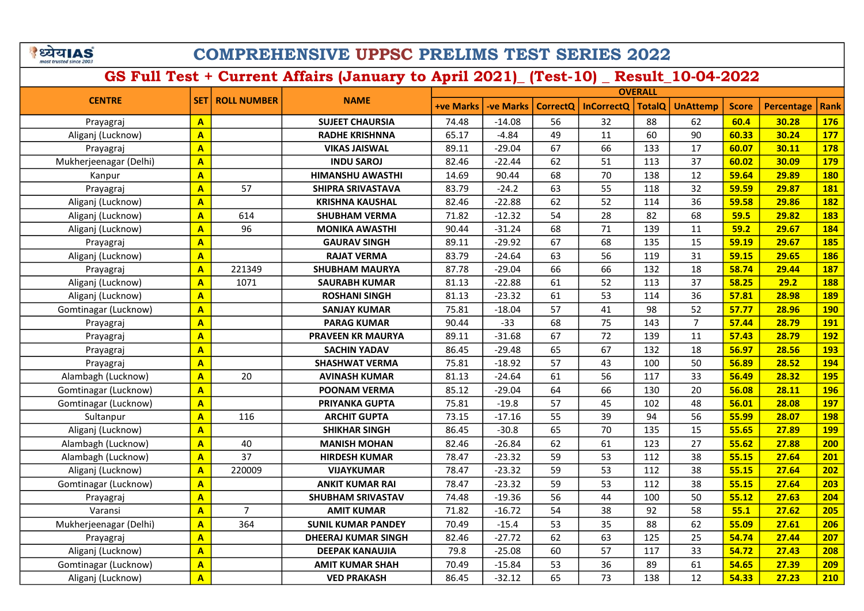|  | यIA                     |  |
|--|-------------------------|--|
|  | most trusted since 2003 |  |

|                        |                         |                    |                            | <b>OVERALL</b>   |                  |                 |                   |               |                 |              |            |             |
|------------------------|-------------------------|--------------------|----------------------------|------------------|------------------|-----------------|-------------------|---------------|-----------------|--------------|------------|-------------|
| <b>CENTRE</b>          | <b>SET</b>              | <b>ROLL NUMBER</b> | <b>NAME</b>                | <b>+ve Marks</b> | <b>-ve Marks</b> | <b>CorrectQ</b> | <b>InCorrectQ</b> | <b>TotalO</b> | <b>UnAttemp</b> | <b>Score</b> | Percentage | <b>Rank</b> |
| Prayagraj              | $\mathbf{A}$            |                    | <b>SUJEET CHAURSIA</b>     | 74.48            | $-14.08$         | 56              | 32                | 88            | 62              | 60.4         | 30.28      | <b>176</b>  |
| Aliganj (Lucknow)      | $\overline{\mathbf{A}}$ |                    | <b>RADHE KRISHNNA</b>      | 65.17            | $-4.84$          | 49              | 11                | 60            | 90              | 60.33        | 30.24      | <b>177</b>  |
| Prayagraj              | $\overline{\mathbf{A}}$ |                    | <b>VIKAS JAISWAL</b>       | 89.11            | $-29.04$         | 67              | 66                | 133           | 17              | 60.07        | 30.11      | <b>178</b>  |
| Mukherjeenagar (Delhi) | $\overline{\mathbf{A}}$ |                    | <b>INDU SAROJ</b>          | 82.46            | $-22.44$         | 62              | 51                | 113           | 37              | 60.02        | 30.09      | <b>179</b>  |
| Kanpur                 | $\overline{\mathsf{A}}$ |                    | HIMANSHU AWASTHI           | 14.69            | 90.44            | 68              | 70                | 138           | 12              | 59.64        | 29.89      | <b>180</b>  |
| Prayagraj              | $\overline{\mathsf{A}}$ | 57                 | <b>SHIPRA SRIVASTAVA</b>   | 83.79            | $-24.2$          | 63              | 55                | 118           | 32              | 59.59        | 29.87      | <b>181</b>  |
| Aliganj (Lucknow)      | $\overline{\mathsf{A}}$ |                    | <b>KRISHNA KAUSHAL</b>     | 82.46            | $-22.88$         | 62              | 52                | 114           | 36              | 59.58        | 29.86      | <b>182</b>  |
| Aliganj (Lucknow)      | $\overline{\mathsf{A}}$ | 614                | <b>SHUBHAM VERMA</b>       | 71.82            | $-12.32$         | 54              | 28                | 82            | 68              | 59.5         | 29.82      | <b>183</b>  |
| Aliganj (Lucknow)      | $\overline{\mathsf{A}}$ | 96                 | <b>MONIKA AWASTHI</b>      | 90.44            | $-31.24$         | 68              | 71                | 139           | 11              | 59.2         | 29.67      | 184         |
| Prayagraj              | A                       |                    | <b>GAURAV SINGH</b>        | 89.11            | $-29.92$         | 67              | 68                | 135           | 15              | 59.19        | 29.67      | <b>185</b>  |
| Aliganj (Lucknow)      | $\overline{\mathsf{A}}$ |                    | <b>RAJAT VERMA</b>         | 83.79            | $-24.64$         | 63              | 56                | 119           | 31              | 59.15        | 29.65      | <b>186</b>  |
| Prayagraj              | A                       | 221349             | <b>SHUBHAM MAURYA</b>      | 87.78            | $-29.04$         | 66              | 66                | 132           | 18              | 58.74        | 29.44      | <b>187</b>  |
| Aliganj (Lucknow)      | A                       | 1071               | <b>SAURABH KUMAR</b>       | 81.13            | $-22.88$         | 61              | 52                | 113           | 37              | 58.25        | 29.2       | 188         |
| Aliganj (Lucknow)      | $\overline{\mathbf{A}}$ |                    | <b>ROSHANI SINGH</b>       | 81.13            | $-23.32$         | 61              | 53                | 114           | 36              | 57.81        | 28.98      | <b>189</b>  |
| Gomtinagar (Lucknow)   | $\overline{\mathbf{A}}$ |                    | <b>SANJAY KUMAR</b>        | 75.81            | $-18.04$         | 57              | 41                | 98            | 52              | 57.77        | 28.96      | <b>190</b>  |
| Prayagraj              | $\overline{\mathsf{A}}$ |                    | <b>PARAG KUMAR</b>         | 90.44            | $-33$            | 68              | 75                | 143           | $\overline{7}$  | 57.44        | 28.79      | <b>191</b>  |
| Prayagraj              | $\overline{\mathsf{A}}$ |                    | PRAVEEN KR MAURYA          | 89.11            | $-31.68$         | 67              | 72                | 139           | 11              | 57.43        | 28.79      | <b>192</b>  |
| Prayagraj              | $\overline{\mathsf{A}}$ |                    | <b>SACHIN YADAV</b>        | 86.45            | $-29.48$         | 65              | 67                | 132           | 18              | 56.97        | 28.56      | <b>193</b>  |
| Prayagraj              | $\overline{\mathbf{A}}$ |                    | <b>SHASHWAT VERMA</b>      | 75.81            | $-18.92$         | 57              | 43                | 100           | 50              | 56.89        | 28.52      | 194         |
| Alambagh (Lucknow)     | $\overline{\mathbf{A}}$ | 20                 | <b>AVINASH KUMAR</b>       | 81.13            | $-24.64$         | 61              | 56                | 117           | 33              | 56.49        | 28.32      | <b>195</b>  |
| Gomtinagar (Lucknow)   | $\overline{\mathbf{A}}$ |                    | <b>POONAM VERMA</b>        | 85.12            | $-29.04$         | 64              | 66                | 130           | 20              | 56.08        | 28.11      | <b>196</b>  |
| Gomtinagar (Lucknow)   | $\overline{\mathbf{A}}$ |                    | PRIYANKA GUPTA             | 75.81            | $-19.8$          | 57              | 45                | 102           | 48              | 56.01        | 28.08      | <b>197</b>  |
| Sultanpur              | $\overline{\mathbf{A}}$ | 116                | <b>ARCHIT GUPTA</b>        | 73.15            | $-17.16$         | 55              | 39                | 94            | 56              | 55.99        | 28.07      | <b>198</b>  |
| Aliganj (Lucknow)      | $\overline{\mathbf{A}}$ |                    | <b>SHIKHAR SINGH</b>       | 86.45            | $-30.8$          | 65              | 70                | 135           | 15              | 55.65        | 27.89      | <b>199</b>  |
| Alambagh (Lucknow)     | $\mathbf{A}$            | 40                 | <b>MANISH MOHAN</b>        | 82.46            | $-26.84$         | 62              | 61                | 123           | 27              | 55.62        | 27.88      | 200         |
| Alambagh (Lucknow)     | $\overline{\mathsf{A}}$ | 37                 | <b>HIRDESH KUMAR</b>       | 78.47            | $-23.32$         | 59              | 53                | 112           | 38              | 55.15        | 27.64      | 201         |
| Aliganj (Lucknow)      | $\overline{\mathsf{A}}$ | 220009             | <b>VIJAYKUMAR</b>          | 78.47            | $-23.32$         | 59              | 53                | 112           | 38              | 55.15        | 27.64      | 202         |
| Gomtinagar (Lucknow)   | $\overline{\mathbf{A}}$ |                    | <b>ANKIT KUMAR RAI</b>     | 78.47            | $-23.32$         | 59              | 53                | 112           | 38              | 55.15        | 27.64      | 203         |
| Prayagraj              | $\overline{\mathbf{A}}$ |                    | <b>SHUBHAM SRIVASTAV</b>   | 74.48            | $-19.36$         | 56              | 44                | 100           | 50              | 55.12        | 27.63      | 204         |
| Varansi                | $\overline{\mathsf{A}}$ | $\overline{7}$     | <b>AMIT KUMAR</b>          | 71.82            | $-16.72$         | 54              | 38                | 92            | 58              | 55.1         | 27.62      | 205         |
| Mukherjeenagar (Delhi) | $\overline{\mathbf{A}}$ | 364                | <b>SUNIL KUMAR PANDEY</b>  | 70.49            | $-15.4$          | 53              | 35                | 88            | 62              | 55.09        | 27.61      | 206         |
| Prayagraj              | $\overline{\mathbf{A}}$ |                    | <b>DHEERAJ KUMAR SINGH</b> | 82.46            | $-27.72$         | 62              | 63                | 125           | 25              | 54.74        | 27.44      | 207         |
| Aliganj (Lucknow)      | $\overline{\mathsf{A}}$ |                    | <b>DEEPAK KANAUJIA</b>     | 79.8             | $-25.08$         | 60              | 57                | 117           | 33              | 54.72        | 27.43      | 208         |
| Gomtinagar (Lucknow)   | A                       |                    | <b>AMIT KUMAR SHAH</b>     | 70.49            | $-15.84$         | 53              | 36                | 89            | 61              | 54.65        | 27.39      | 209         |
| Aliganj (Lucknow)      | A                       |                    | <b>VED PRAKASH</b>         | 86.45            | $-32.12$         | 65              | 73                | 138           | 12              | 54.33        | 27.23      | 210         |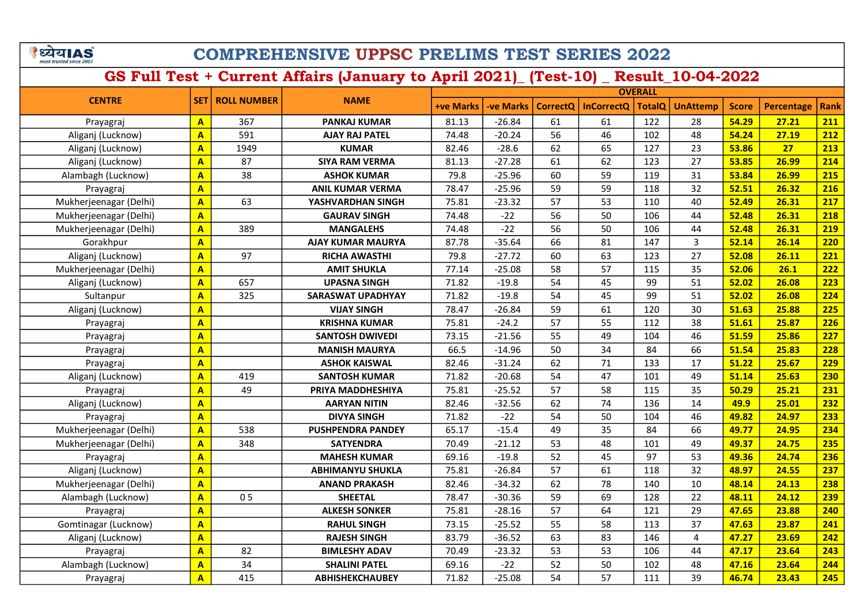ंध्येयIAS most tructed ch

## COMPREHENSIVE UPPSC PRELIMS TEST SERIES 2022

GS Full Test + Current Affairs (January to April 2021)\_ (Test-10) \_ Result\_10-04-2022

+ve Marks | -ve Marks | CorrectQ | InCorrectQ | TotalQ | UnAttemp | Score | Percentage | Rank **OVERALL** CENTRE SET ROLL NUMBER Prayagraj <mark>| A |</mark> 367 | PANKAJ KUMAR | 81.13 | -26.84 | 61 | 61 | 122 | 28 <mark>| 54.29 | 27.21 |211</mark> Aliganj (Lucknow) <mark> A </mark> 591 **AJAY RAJ PATEL** | 74.48 | -20.24 | 56 | 46 | 102 | 48 <mark>|54.24 | 27.19 | 212</mark> Aliganj (Lucknow) <mark> A </mark> 1949 KUMAR | 82.46 | -28.6 | 62 | 65 | 127 | 23 <mark>|53.86 | 27 | 213</mark> Aliganj (Lucknow) <mark> A </mark> 87 S**IYA RAM VERMA** 81.13 -27.28 61 62 123 27 <mark> 53.85 26.99 214</mark> Alambagh (Lucknow) <mark> A </mark> 38 | **ASHOK KUMAR** | 79.8 | -25.96 | 60 | 59 | 119 | 31 <mark> 53.84 | 26.99 | 215</mark> Prayagraj <mark>| A |</mark> | ANIL KUMAR VERMA | 78.47 | -25.96 | 59 | 19 | 118 | 32 <mark>| 52.51 | 26.32 | 216</mark> Mukherjeenagar (Delhi) <mark>| A |</mark> 63 | YA**SHVARDHAN SINGH** | 75.81 | -23.32 | 57 | 53 | 110 | 40 <mark>| 52.49 | 26.31 |217</mark> Mukherjeenagar (Delhi) A GAURAV SINGH 74.48 -22 56 50 106 44 52.48 26.31 218 Mukherjeenagar (Delhi) <mark>| A |</mark> 389 | MANGALEHS | 74.48 | -22 | 56 | 50 | 106 | 44 <mark>| 52.48 | 26.31 | 219</mark> Gorakhpur <mark>| A |</mark> | AJAY KUMAR MAURYA | 87.78 | -35.64 | 66 | 81 | 147 | 3 <mark>| 52.14 | 26.14 | 220</mark> Aliganj (Lucknow) <mark> A </mark> 97 RI**CHA AWASTHI** 79.8 <mark> -27.72 60 63 123 27 <mark> 52.08 26.11 221</mark></mark> Mukherjeenagar (Delhi) A AMIT SHUKLA 77.14 -25.08 58 57 115 35 52.06 26.1 222 Aliganj (Lucknow) <mark> A </mark> 657 UPASNA SINGH | 71.82 | -19.8 | 54 | 45 | 99 | 51 <mark>| 52.02 | 26.08 | 223</mark> Sultanpur <mark>| А |</mark> 325 | SARASWAT UPADHYAY | 71.82 | -19.8 | 54 | 45 | 99 | 51 <mark> 52.02 | 26.08 | 224</mark> Aliganj (Lucknow) <mark> A |</mark> VIJAY SINGH | 78.47 | -26.84 | 59 | 61 | 120 | 30 <mark>| 51.63 | 25.88 | 225</mark> Prayagraj <mark>| A |</mark> | KRISHNA KUMAR | 75.81 | -24.2 | 57 | 55 | 112 | 38 <mark> 51.61 | 25.87 | 226</mark> Prayagraj <mark>| A |</mark> | SANTOSH DWIVEDI | 73.15 | -21.56 | 55 | 49 | 104 | 46 <mark>| 51.59 | 25.86 | 227</mark> Prayagraj A MANISH MAURYA 66.5 -14.96 50 34 84 66 51.54 25.83 228 Prayagraj <mark>| A |</mark> | ASHOK KAISWAL | 82.46 | -31.24 | 62 | 71 | 133 | 17 <mark>| 51.22 | 25.67 | 229</mark> Aliganj (Lucknow) <mark> A </mark> 419 S**ANTOSH KUMAR** 71.82 -20.68 54 47 101 49 <mark>51.14 25.63 230</mark> Prayagraj <mark>| A |</mark> 49 | PRIYA MADDHESHIYA | 75.81 | -25.52 | 57 | 58 | 115 | 35 <mark>| 50.29 | 25.21 |231</mark> Aliganj (Lucknow) <mark> A </mark> AARYAN NITIN | 82.46 | -32.56 | 62 | 74 | 136 | 14 <mark>| 49.9 | 25.01 | 232</mark> Prayagraj A DIVYA SINGH 71.82 -22 54 50 104 46 49.82 24.97 233 Mukherjeenagar (Delhi) <mark>| A |</mark> 538 | P**USHPENDRA PANDEY** | 65.17 | -15.4 | 49 | 35 | 84 | 66 <mark>| 49.77 | 24.95 |234</mark> Mukherjeenagar (Delhi) <mark>| A |</mark> 348 | SATYENDRA | 70.49 | -21.12 | 53 | 48 | 101 | 49 <mark>| 49.37 | 24.75 | 235</mark> Prayagraj <mark>A A MAHESH KUMAR 69.16 -19.8 52 45 97 53 49.36 24.74 236</mark> Aliganj (Lucknow) <mark>A A ABHIMANYU SHUKLA</mark> 75.81 -26.84 57 61 118 32 <mark>48.97 24.55 237</mark> Mukherjeenagar (Delhi) <mark>A ANAND PRAKASH 82.46 -34.32 62 78 140 10 48.14 24.13 238</mark> Alambagh (Lucknow) <mark> A </mark> O 5 S**HEETAL** 78.47 -30.36 59 69 128 22 <mark>48.11 24.12 <mark>239</mark></mark> Prayagraj A ALKESH SONKER 75.81 -28.16 57 64 121 29 47.65 23.88 240 Gomtinagar (Lucknow) A RAHUL SINGH 73.15 -25.52 55 58 113 37 47.63 23.87 241 Aliganj (Lucknow) <mark> A </mark> R**AJESH SINGH** 83.79 -36.52 63 83 146 4 <mark>47.27 23.69 242</mark> Prayagraj A 82 BIMLESHY ADAV 70.49 -23.32 53 53 106 44 47.17 23.64 243 Alambagh (Lucknow) <mark> A </mark> 34 S**HALINI PATEL 6**9.16 -22 52 50 102 48 <mark>47.16 23.64 244</mark> Prayagraj - <mark>A 415 ABHISHEKCHAUBEY 71.82 -25.08 54 57 111 39 46.74 23.43 245</mark>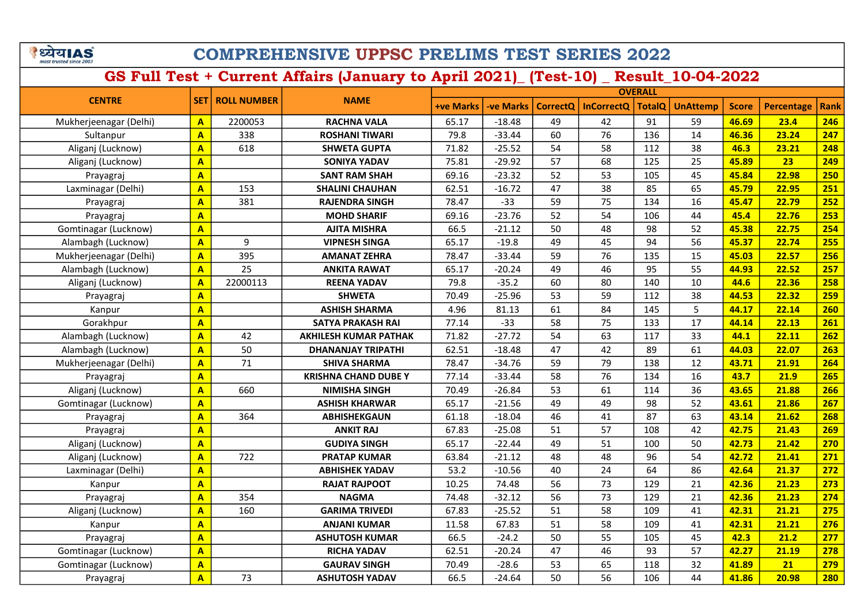## COMPREHENSIVE UPPSC PRELIMS TEST SERIES 2022

|                        |                         |                          |                              |                  |           | <b>OVERALL</b>  |                   |                 |                 |              |                   |      |
|------------------------|-------------------------|--------------------------|------------------------------|------------------|-----------|-----------------|-------------------|-----------------|-----------------|--------------|-------------------|------|
| <b>CENTRE</b>          |                         | <b>SET   ROLL NUMBER</b> | <b>NAME</b>                  | <b>+ve Marks</b> | -ve Marks | <b>CorrectQ</b> | <b>InCorrectQ</b> | <b>TotalQ</b>   | <b>UnAttemp</b> | <b>Score</b> | <b>Percentage</b> | Rank |
| Mukherjeenagar (Delhi) | $\mathbf{A}$            | 2200053                  | <b>RACHNA VALA</b>           | 65.17            | $-18.48$  | 49              | 42                | 91              | 59              | 46.69        | 23.4              | 246  |
| Sultanpur              | $\overline{\mathbf{A}}$ | 338                      | <b>ROSHANI TIWARI</b>        | 79.8             | $-33.44$  | 60              | 76                | 136             | 14              | 46.36        | 23.24             | 247  |
| Aliganj (Lucknow)      | $\mathbf{A}$            | 618                      | <b>SHWETA GUPTA</b>          | 71.82            | $-25.52$  | 54              | 58                | 112             | 38              | 46.3         | 23.21             | 248  |
| Aliganj (Lucknow)      | $\mathbf{A}$            |                          | <b>SONIYA YADAV</b>          | 75.81            | $-29.92$  | 57              | 68                | 125             | 25              | 45.89        | 23                | 249  |
| Prayagraj              | $\overline{\mathbf{A}}$ |                          | <b>SANT RAM SHAH</b>         | 69.16            | $-23.32$  | 52              | 53                | 105             | 45              | 45.84        | 22.98             | 250  |
| Laxminagar (Delhi)     | $\mathbf{A}$            | 153                      | <b>SHALINI CHAUHAN</b>       | 62.51            | $-16.72$  | 47              | 38                | 85              | 65              | 45.79        | 22.95             | 251  |
| Prayagraj              | $\mathbf{A}$            | 381                      | <b>RAJENDRA SINGH</b>        | 78.47            | $-33$     | 59              | 75                | 134             | 16              | 45.47        | 22.79             | 252  |
| Prayagraj              | $\overline{A}$          |                          | <b>MOHD SHARIF</b>           | 69.16            | $-23.76$  | 52              | 54                | 106             | 44              | 45.4         | 22.76             | 253  |
| Gomtinagar (Lucknow)   | $\overline{\mathbf{A}}$ |                          | <b>AJITA MISHRA</b>          | 66.5             | $-21.12$  | 50              | 48                | 98              | 52              | 45.38        | 22.75             | 254  |
| Alambagh (Lucknow)     | $\mathbf{A}$            | 9                        | <b>VIPNESH SINGA</b>         | 65.17            | $-19.8$   | 49              | 45                | 94              | 56              | 45.37        | 22.74             | 255  |
| Mukherjeenagar (Delhi) | $\overline{A}$          | 395                      | <b>AMANAT ZEHRA</b>          | 78.47            | $-33.44$  | 59              | 76                | 135             | 15              | 45.03        | 22.57             | 256  |
| Alambagh (Lucknow)     | $\overline{\mathbf{A}}$ | 25                       | <b>ANKITA RAWAT</b>          | 65.17            | $-20.24$  | 49              | 46                | 95              | 55              | 44.93        | 22.52             | 257  |
| Aliganj (Lucknow)      | $\overline{A}$          | 22000113                 | <b>REENA YADAV</b>           | 79.8             | $-35.2$   | 60              | 80                | 140             | 10              | 44.6         | 22.36             | 258  |
| Prayagraj              | $\overline{A}$          |                          | <b>SHWETA</b>                | 70.49            | $-25.96$  | 53              | 59                | 112             | 38              | 44.53        | 22.32             | 259  |
| Kanpur                 | $\overline{\mathbf{A}}$ |                          | <b>ASHISH SHARMA</b>         | 4.96             | 81.13     | 61              | 84                | 145             | 5               | 44.17        | 22.14             | 260  |
| Gorakhpur              | $\overline{A}$          |                          | <b>SATYA PRAKASH RAI</b>     | 77.14            | $-33$     | 58              | 75                | 133             | 17              | 44.14        | 22.13             | 261  |
| Alambagh (Lucknow)     | $\overline{A}$          | 42                       | <b>AKHILESH KUMAR PATHAK</b> | 71.82            | $-27.72$  | 54              | 63                | 117             | 33              | 44.1         | 22.11             | 262  |
| Alambagh (Lucknow)     | $\mathbf{A}$            | 50                       | <b>DHANANJAY TRIPATHI</b>    | 62.51            | $-18.48$  | 47              | 42                | 89              | 61              | 44.03        | 22.07             | 263  |
| Mukherjeenagar (Delhi) | $\overline{A}$          | 71                       | <b>SHIVA SHARMA</b>          | 78.47            | $-34.76$  | 59              | 79                | 138             | 12              | 43.71        | 21.91             | 264  |
| Prayagraj              | $\overline{A}$          |                          | <b>KRISHNA CHAND DUBE Y</b>  | 77.14            | $-33.44$  | 58              | 76                | 134             | 16              | 43.7         | 21.9              | 265  |
| Aliganj (Lucknow)      | A                       | 660                      | <b>NIMISHA SINGH</b>         | 70.49            | $-26.84$  | 53              | 61                | 114             | 36              | 43.65        | 21.88             | 266  |
| Gomtinagar (Lucknow)   | $\overline{\mathsf{A}}$ |                          | <b>ASHISH KHARWAR</b>        | 65.17            | $-21.56$  | 49              | 49                | 98              | 52              | 43.61        | 21.86             | 267  |
| Prayagraj              | A                       | 364                      | <b>ABHISHEKGAUN</b>          | 61.18            | $-18.04$  | 46              | 41                | $\overline{87}$ | 63              | 43.14        | 21.62             | 268  |
| Prayagraj              | $\overline{\mathbf{A}}$ |                          | <b>ANKIT RAJ</b>             | 67.83            | $-25.08$  | 51              | 57                | 108             | 42              | 42.75        | 21.43             | 269  |
| Aliganj (Lucknow)      | $\overline{\mathbf{A}}$ |                          | <b>GUDIYA SINGH</b>          | 65.17            | $-22.44$  | 49              | 51                | 100             | 50              | 42.73        | 21.42             | 270  |
| Aliganj (Lucknow)      | A                       | 722                      | <b>PRATAP KUMAR</b>          | 63.84            | $-21.12$  | 48              | 48                | 96              | 54              | 42.72        | 21.41             | 271  |
| Laxminagar (Delhi)     | $\mathbf{A}$            |                          | ABHISHEK YADAV               | 53.2             | $-10.56$  | 40              | 24                | 64              | 86              | 42.64        | 21.37             | 272  |
| Kanpur                 | $\mathbf{A}$            |                          | <b>RAJAT RAJPOOT</b>         | 10.25            | 74.48     | 56              | 73                | 129             | 21              | 42.36        | 21.23             | 273  |
| Prayagraj              | $\overline{\mathbf{A}}$ | 354                      | <b>NAGMA</b>                 | 74.48            | $-32.12$  | 56              | 73                | 129             | 21              | 42.36        | 21.23             | 274  |
| Aliganj (Lucknow)      | $\overline{A}$          | 160                      | <b>GARIMA TRIVEDI</b>        | 67.83            | $-25.52$  | 51              | 58                | 109             | 41              | 42.31        | 21.21             | 275  |
| Kanpur                 | $\overline{\mathbf{A}}$ |                          | <b>ANJANI KUMAR</b>          | 11.58            | 67.83     | 51              | 58                | 109             | 41              | 42.31        | 21.21             | 276  |
| Prayagraj              | $\mathbf{A}$            |                          | <b>ASHUTOSH KUMAR</b>        | 66.5             | $-24.2$   | 50              | 55                | 105             | 45              | 42.3         | 21.2              | 277  |
| Gomtinagar (Lucknow)   | $\overline{A}$          |                          | <b>RICHA YADAV</b>           | 62.51            | $-20.24$  | 47              | 46                | 93              | 57              | 42.27        | 21.19             | 278  |
| Gomtinagar (Lucknow)   | $\mathbf{A}$            |                          | <b>GAURAV SINGH</b>          | 70.49            | $-28.6$   | 53              | 65                | 118             | 32              | 41.89        | 21                | 279  |
| Prayagraj              | $\overline{\mathbf{A}}$ | 73                       | <b>ASHUTOSH YADAV</b>        | 66.5             | $-24.64$  | 50              | 56                | 106             | 44              | 41.86        | 20.98             | 280  |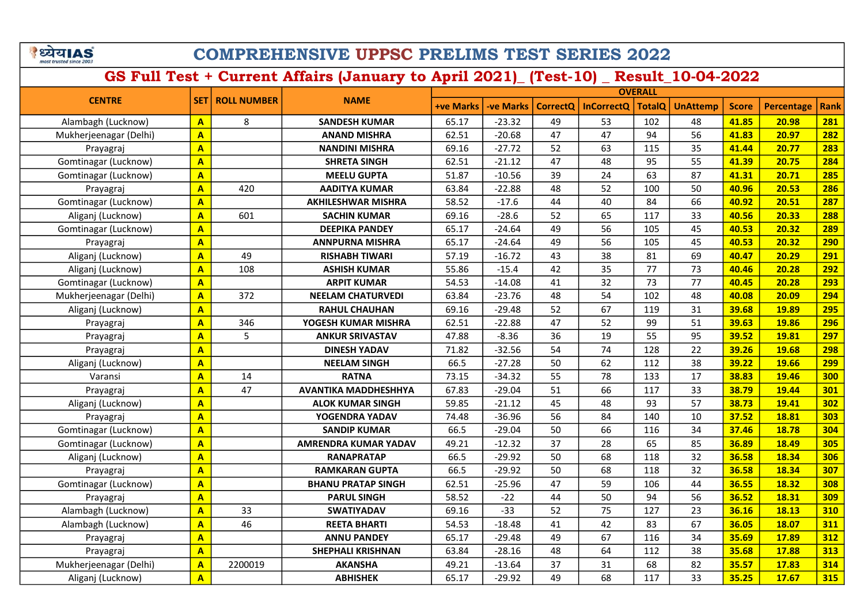| पय।A                    |  |
|-------------------------|--|
| most trusted since 2003 |  |

| <b>OVERALL</b>         |                         |                    |                             |                  |                  |                 |                   |               |                 |              |            |             |
|------------------------|-------------------------|--------------------|-----------------------------|------------------|------------------|-----------------|-------------------|---------------|-----------------|--------------|------------|-------------|
| <b>CENTRE</b>          | <b>SET</b>              | <b>ROLL NUMBER</b> | <b>NAME</b>                 | <b>+ve Marks</b> | <b>-ve Marks</b> | <b>CorrectQ</b> | <b>InCorrectQ</b> | <b>TotalQ</b> | <b>UnAttemp</b> | <b>Score</b> | Percentage | <b>Rank</b> |
| Alambagh (Lucknow)     | $\mathbf{A}$            | 8                  | <b>SANDESH KUMAR</b>        | 65.17            | $-23.32$         | 49              | 53                | 102           | 48              | 41.85        | 20.98      | 281         |
| Mukherjeenagar (Delhi) | A                       |                    | <b>ANAND MISHRA</b>         | 62.51            | $-20.68$         | 47              | 47                | 94            | 56              | 41.83        | 20.97      | 282         |
| Prayagraj              | A                       |                    | <b>NANDINI MISHRA</b>       | 69.16            | $-27.72$         | 52              | 63                | 115           | 35              | 41.44        | 20.77      | 283         |
| Gomtinagar (Lucknow)   | A                       |                    | <b>SHRETA SINGH</b>         | 62.51            | $-21.12$         | 47              | 48                | 95            | 55              | 41.39        | 20.75      | 284         |
| Gomtinagar (Lucknow)   | $\overline{A}$          |                    | <b>MEELU GUPTA</b>          | 51.87            | $-10.56$         | 39              | 24                | 63            | 87              | 41.31        | 20.71      | 285         |
| Prayagraj              | A                       | 420                | <b>AADITYA KUMAR</b>        | 63.84            | $-22.88$         | 48              | 52                | 100           | 50              | 40.96        | 20.53      | 286         |
| Gomtinagar (Lucknow)   | $\overline{A}$          |                    | <b>AKHILESHWAR MISHRA</b>   | 58.52            | $-17.6$          | 44              | 40                | 84            | 66              | 40.92        | 20.51      | 287         |
| Aliganj (Lucknow)      | $\overline{A}$          | 601                | <b>SACHIN KUMAR</b>         | 69.16            | $-28.6$          | 52              | 65                | 117           | 33              | 40.56        | 20.33      | 288         |
| Gomtinagar (Lucknow)   | $\overline{A}$          |                    | <b>DEEPIKA PANDEY</b>       | 65.17            | $-24.64$         | 49              | 56                | 105           | 45              | 40.53        | 20.32      | 289         |
| Prayagraj              | A                       |                    | <b>ANNPURNA MISHRA</b>      | 65.17            | $-24.64$         | 49              | 56                | 105           | 45              | 40.53        | 20.32      | 290         |
| Aliganj (Lucknow)      | $\overline{A}$          | 49                 | <b>RISHABH TIWARI</b>       | 57.19            | $-16.72$         | 43              | 38                | 81            | 69              | 40.47        | 20.29      | 291         |
| Aliganj (Lucknow)      | A                       | 108                | <b>ASHISH KUMAR</b>         | 55.86            | $-15.4$          | 42              | 35                | 77            | 73              | 40.46        | 20.28      | 292         |
| Gomtinagar (Lucknow)   | A                       |                    | <b>ARPIT KUMAR</b>          | 54.53            | $-14.08$         | 41              | 32                | 73            | 77              | 40.45        | 20.28      | 293         |
| Mukherjeenagar (Delhi) | A                       | 372                | <b>NEELAM CHATURVEDI</b>    | 63.84            | $-23.76$         | 48              | 54                | 102           | 48              | 40.08        | 20.09      | 294         |
| Aliganj (Lucknow)      | A                       |                    | <b>RAHUL CHAUHAN</b>        | 69.16            | $-29.48$         | 52              | 67                | 119           | 31              | 39.68        | 19.89      | 295         |
| Prayagraj              | $\overline{A}$          | 346                | YOGESH KUMAR MISHRA         | 62.51            | $-22.88$         | 47              | 52                | 99            | 51              | 39.63        | 19.86      | 296         |
| Prayagraj              | A                       | 5                  | <b>ANKUR SRIVASTAV</b>      | 47.88            | $-8.36$          | 36              | 19                | 55            | 95              | 39.52        | 19.81      | 297         |
| Prayagraj              | $\overline{A}$          |                    | <b>DINESH YADAV</b>         | 71.82            | $-32.56$         | 54              | 74                | 128           | 22              | 39.26        | 19.68      | 298         |
| Aliganj (Lucknow)      | A                       |                    | <b>NEELAM SINGH</b>         | 66.5             | $-27.28$         | 50              | 62                | 112           | 38              | 39.22        | 19.66      | 299         |
| Varansi                | A                       | 14                 | <b>RATNA</b>                | 73.15            | $-34.32$         | 55              | 78                | 133           | 17              | 38.83        | 19.46      | 300         |
| Prayagraj              | A                       | 47                 | AVANTIKA MADDHESHHYA        | 67.83            | $-29.04$         | 51              | 66                | 117           | 33              | 38.79        | 19.44      | 301         |
| Aliganj (Lucknow)      | A                       |                    | <b>ALOK KUMAR SINGH</b>     | 59.85            | $-21.12$         | 45              | 48                | 93            | 57              | 38.73        | 19.41      | 302         |
| Prayagraj              | A                       |                    | YOGENDRA YADAV              | 74.48            | $-36.96$         | 56              | 84                | 140           | 10              | 37.52        | 18.81      | 303         |
| Gomtinagar (Lucknow)   | $\overline{A}$          |                    | <b>SANDIP KUMAR</b>         | 66.5             | $-29.04$         | 50              | 66                | 116           | 34              | 37.46        | 18.78      | 304         |
| Gomtinagar (Lucknow)   | $\overline{A}$          |                    | <b>AMRENDRA KUMAR YADAV</b> | 49.21            | $-12.32$         | 37              | 28                | 65            | 85              | 36.89        | 18.49      | 305         |
| Aliganj (Lucknow)      | A                       |                    | <b>RANAPRATAP</b>           | 66.5             | $-29.92$         | 50              | 68                | 118           | 32              | 36.58        | 18.34      | 306         |
| Prayagraj              | $\overline{\mathsf{A}}$ |                    | <b>RAMKARAN GUPTA</b>       | 66.5             | $-29.92$         | 50              | 68                | 118           | 32              | 36.58        | 18.34      | 307         |
| Gomtinagar (Lucknow)   | A                       |                    | <b>BHANU PRATAP SINGH</b>   | 62.51            | $-25.96$         | 47              | 59                | 106           | 44              | 36.55        | 18.32      | 308         |
| Prayagraj              | A                       |                    | <b>PARUL SINGH</b>          | 58.52            | $-22$            | 44              | 50                | 94            | 56              | 36.52        | 18.31      | 309         |
| Alambagh (Lucknow)     | A                       | 33                 | <b>SWATIYADAV</b>           | 69.16            | $-33$            | 52              | 75                | 127           | 23              | 36.16        | 18.13      | 310         |
| Alambagh (Lucknow)     | $\overline{A}$          | 46                 | <b>REETA BHARTI</b>         | 54.53            | $-18.48$         | 41              | 42                | 83            | 67              | 36.05        | 18.07      | 311         |
| Prayagraj              | A                       |                    | <b>ANNU PANDEY</b>          | 65.17            | $-29.48$         | 49              | 67                | 116           | 34              | 35.69        | 17.89      | 312         |
| Prayagraj              | A                       |                    | <b>SHEPHALI KRISHNAN</b>    | 63.84            | $-28.16$         | 48              | 64                | 112           | 38              | 35.68        | 17.88      | 313         |
| Mukherjeenagar (Delhi) | $\overline{A}$          | 2200019            | <b>AKANSHA</b>              | 49.21            | $-13.64$         | 37              | 31                | 68            | 82              | 35.57        | 17.83      | 314         |
| Aliganj (Lucknow)      | $\overline{A}$          |                    | <b>ABHISHEK</b>             | 65.17            | $-29.92$         | 49              | 68                | 117           | 33              | 35.25        | 17.67      | 315         |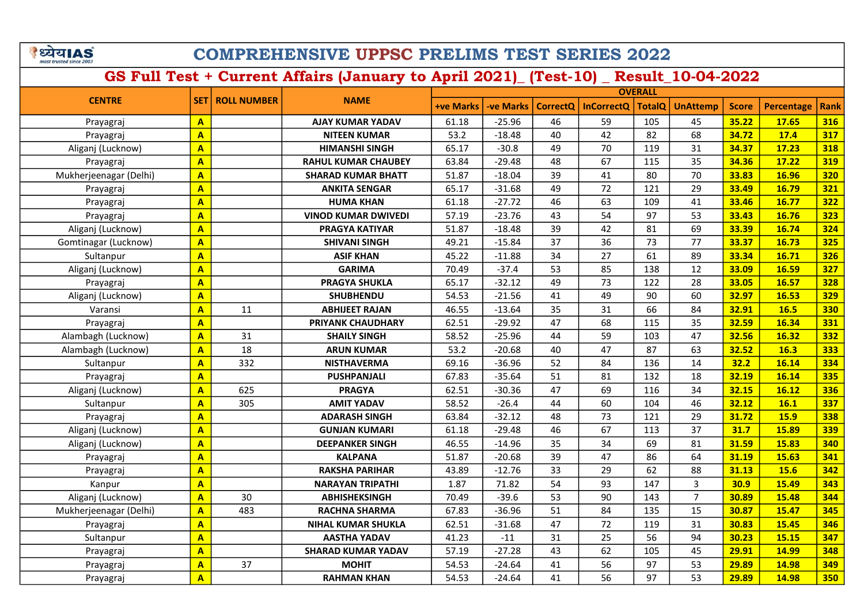| <b>RIA</b>              |  |
|-------------------------|--|
| most trusted since 2003 |  |

| <b>CENTRE</b>          |                         |                    |                            |                  |                  |                 |                   | <b>OVERALL</b> |                 |              |             |             |  |
|------------------------|-------------------------|--------------------|----------------------------|------------------|------------------|-----------------|-------------------|----------------|-----------------|--------------|-------------|-------------|--|
|                        | <b>SET</b>              | <b>ROLL NUMBER</b> | <b>NAME</b>                | <b>+ve Marks</b> | <b>-ve Marks</b> | <b>CorrectQ</b> | <b>InCorrectQ</b> | <b>TotalQ</b>  | <b>UnAttemp</b> | <b>Score</b> | Percentage  | <b>Rank</b> |  |
| Prayagraj              | $\mathbf{A}$            |                    | <b>AJAY KUMAR YADAV</b>    | 61.18            | $-25.96$         | 46              | 59                | 105            | 45              | 35.22        | 17.65       | 316         |  |
| Prayagraj              | $\overline{\mathbf{A}}$ |                    | <b>NITEEN KUMAR</b>        | 53.2             | $-18.48$         | 40              | 42                | 82             | 68              | 34.72        | 17.4        | 317         |  |
| Aliganj (Lucknow)      | $\mathbf{A}$            |                    | <b>HIMANSHI SINGH</b>      | 65.17            | $-30.8$          | 49              | 70                | 119            | 31              | 34.37        | 17.23       | 318         |  |
| Prayagraj              | $\overline{\mathbf{A}}$ |                    | <b>RAHUL KUMAR CHAUBEY</b> | 63.84            | $-29.48$         | 48              | 67                | 115            | 35              | 34.36        | 17.22       | 319         |  |
| Mukherjeenagar (Delhi) | $\mathbf{A}$            |                    | <b>SHARAD KUMAR BHATT</b>  | 51.87            | $-18.04$         | 39              | 41                | 80             | 70              | 33.83        | 16.96       | 320         |  |
| Prayagraj              | $\mathbf{A}$            |                    | <b>ANKITA SENGAR</b>       | 65.17            | $-31.68$         | 49              | 72                | 121            | 29              | 33.49        | 16.79       | 321         |  |
| Prayagraj              | $\overline{\mathbf{A}}$ |                    | <b>HUMA KHAN</b>           | 61.18            | $-27.72$         | 46              | 63                | 109            | 41              | 33.46        | 16.77       | 322         |  |
| Prayagraj              | $\overline{\mathbf{A}}$ |                    | <b>VINOD KUMAR DWIVEDI</b> | 57.19            | $-23.76$         | 43              | 54                | 97             | 53              | 33.43        | 16.76       | 323         |  |
| Aliganj (Lucknow)      | $\mathbf{A}$            |                    | <b>PRAGYA KATIYAR</b>      | 51.87            | $-18.48$         | 39              | 42                | 81             | 69              | 33.39        | 16.74       | 324         |  |
| Gomtinagar (Lucknow)   | $\overline{\mathbf{A}}$ |                    | <b>SHIVANI SINGH</b>       | 49.21            | $-15.84$         | 37              | 36                | 73             | 77              | 33.37        | 16.73       | 325         |  |
| Sultanpur              | $\overline{A}$          |                    | <b>ASIF KHAN</b>           | 45.22            | $-11.88$         | 34              | 27                | 61             | 89              | 33.34        | 16.71       | 326         |  |
| Aliganj (Lucknow)      | $\overline{A}$          |                    | <b>GARIMA</b>              | 70.49            | $-37.4$          | 53              | 85                | 138            | 12              | 33.09        | 16.59       | 327         |  |
| Prayagraj              | $\overline{A}$          |                    | <b>PRAGYA SHUKLA</b>       | 65.17            | $-32.12$         | 49              | 73                | 122            | 28              | 33.05        | 16.57       | 328         |  |
| Aliganj (Lucknow)      | A                       |                    | <b>SHUBHENDU</b>           | 54.53            | $-21.56$         | 41              | 49                | 90             | 60              | 32.97        | 16.53       | 329         |  |
| Varansi                | A                       | 11                 | <b>ABHIJEET RAJAN</b>      | 46.55            | $-13.64$         | 35              | 31                | 66             | 84              | 32.91        | 16.5        | 330         |  |
| Prayagraj              | $\overline{\mathsf{A}}$ |                    | PRIYANK CHAUDHARY          | 62.51            | $-29.92$         | 47              | 68                | 115            | 35              | 32.59        | 16.34       | 331         |  |
| Alambagh (Lucknow)     | A                       | 31                 | <b>SHAILY SINGH</b>        | 58.52            | $-25.96$         | 44              | 59                | 103            | 47              | 32.56        | 16.32       | 332         |  |
| Alambagh (Lucknow)     | A                       | 18                 | <b>ARUN KUMAR</b>          | 53.2             | $-20.68$         | 40              | 47                | 87             | 63              | 32.52        | 16.3        | 333         |  |
| Sultanpur              | A                       | 332                | <b>NISTHAVERMA</b>         | 69.16            | $-36.96$         | 52              | 84                | 136            | 14              | 32.2         | 16.14       | 334         |  |
| Prayagraj              | $\overline{\mathsf{A}}$ |                    | <b>PUSHPANJALI</b>         | 67.83            | $-35.64$         | 51              | 81                | 132            | 18              | 32.19        | 16.14       | 335         |  |
| Aliganj (Lucknow)      | A                       | 625                | <b>PRAGYA</b>              | 62.51            | $-30.36$         | 47              | 69                | 116            | 34              | 32.15        | 16.12       | 336         |  |
| Sultanpur              | $\overline{\mathsf{A}}$ | 305                | <b>AMIT YADAV</b>          | 58.52            | $-26.4$          | 44              | 60                | 104            | 46              | 32.12        | 16.1        | 337         |  |
| Prayagraj              | A                       |                    | <b>ADARASH SINGH</b>       | 63.84            | $-32.12$         | 48              | 73                | 121            | 29              | 31.72        | <b>15.9</b> | 338         |  |
| Aliganj (Lucknow)      | $\overline{\mathsf{A}}$ |                    | <b>GUNJAN KUMARI</b>       | 61.18            | $-29.48$         | 46              | 67                | 113            | 37              | 31.7         | 15.89       | 339         |  |
| Aliganj (Lucknow)      | A                       |                    | <b>DEEPANKER SINGH</b>     | 46.55            | $-14.96$         | 35              | 34                | 69             | 81              | 31.59        | 15.83       | 340         |  |
| Prayagraj              | A                       |                    | <b>KALPANA</b>             | 51.87            | $-20.68$         | 39              | 47                | 86             | 64              | 31.19        | 15.63       | 341         |  |
| Prayagraj              | A                       |                    | <b>RAKSHA PARIHAR</b>      | 43.89            | $-12.76$         | 33              | 29                | 62             | 88              | 31.13        | 15.6        | 342         |  |
| Kanpur                 | $\mathbf{A}$            |                    | <b>NARAYAN TRIPATHI</b>    | 1.87             | 71.82            | 54              | 93                | 147            | 3               | 30.9         | 15.49       | 343         |  |
| Aliganj (Lucknow)      | $\mathbf{A}$            | 30                 | <b>ABHISHEKSINGH</b>       | 70.49            | $-39.6$          | 53              | 90                | 143            | $\overline{7}$  | 30.89        | 15.48       | 344         |  |
| Mukherjeenagar (Delhi) | $\overline{\mathbf{A}}$ | 483                | <b>RACHNA SHARMA</b>       | 67.83            | $-36.96$         | 51              | 84                | 135            | 15              | 30.87        | 15.47       | 345         |  |
| Prayagraj              | $\mathbf{A}$            |                    | <b>NIHAL KUMAR SHUKLA</b>  | 62.51            | $-31.68$         | 47              | 72                | 119            | 31              | 30.83        | 15.45       | 346         |  |
| Sultanpur              | $\overline{\mathbf{A}}$ |                    | <b>AASTHA YADAV</b>        | 41.23            | $-11$            | 31              | 25                | 56             | 94              | 30.23        | 15.15       | 347         |  |
| Prayagraj              | $\overline{\mathbf{A}}$ |                    | <b>SHARAD KUMAR YADAV</b>  | 57.19            | $-27.28$         | 43              | 62                | 105            | 45              | 29.91        | 14.99       | 348         |  |
| Prayagraj              | A                       | 37                 | <b>MOHIT</b>               | 54.53            | $-24.64$         | 41              | 56                | 97             | 53              | 29.89        | 14.98       | 349         |  |
| Prayagraj              | A                       |                    | <b>RAHMAN KHAN</b>         | 54.53            | $-24.64$         | 41              | 56                | 97             | 53              | 29.89        | 14.98       | 350         |  |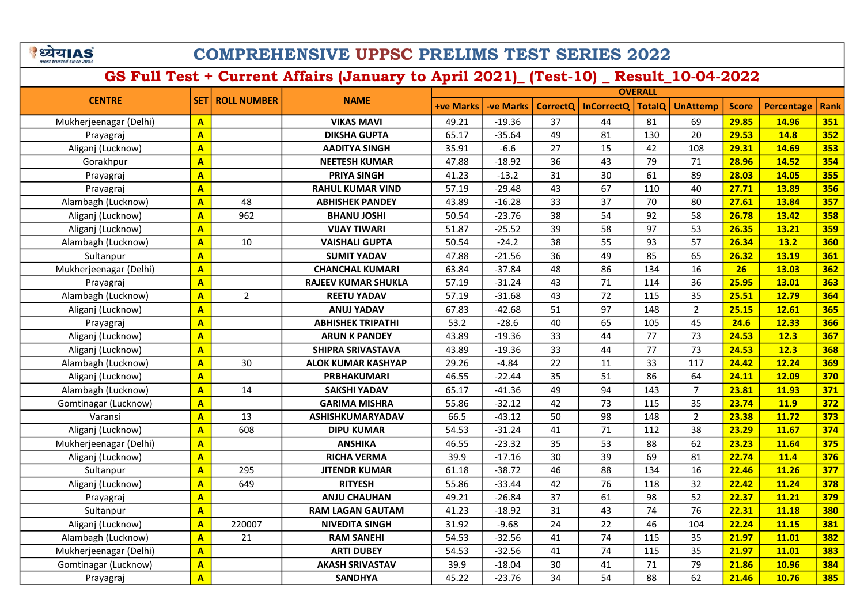## COMPREHENSIVE UPPSC PRELIMS TEST SERIES 2022

| <b>CENTRE</b>          |                         | <b>NAME</b><br><b>ROLL NUMBER</b> |                            | <b>OVERALL</b>   |                 |                   |               |                 |                |            |             |     |
|------------------------|-------------------------|-----------------------------------|----------------------------|------------------|-----------------|-------------------|---------------|-----------------|----------------|------------|-------------|-----|
|                        | <b>SET</b>              |                                   | <b>+ve Marks</b>           | <b>-ve Marks</b> | <b>CorrectQ</b> | <b>InCorrectQ</b> | <b>TotalQ</b> | <b>UnAttemp</b> | <b>Score</b>   | Percentage | <b>Rank</b> |     |
| Mukherjeenagar (Delhi) | $\mathbf{A}$            |                                   | <b>VIKAS MAVI</b>          | 49.21            | $-19.36$        | 37                | 44            | 81              | 69             | 29.85      | 14.96       | 351 |
| Prayagraj              | A                       |                                   | <b>DIKSHA GUPTA</b>        | 65.17            | $-35.64$        | 49                | 81            | 130             | 20             | 29.53      | 14.8        | 352 |
| Aliganj (Lucknow)      | A                       |                                   | <b>AADITYA SINGH</b>       | 35.91            | $-6.6$          | 27                | 15            | 42              | 108            | 29.31      | 14.69       | 353 |
| Gorakhpur              | A                       |                                   | <b>NEETESH KUMAR</b>       | 47.88            | $-18.92$        | 36                | 43            | 79              | 71             | 28.96      | 14.52       | 354 |
| Prayagraj              | A                       |                                   | <b>PRIYA SINGH</b>         | 41.23            | $-13.2$         | 31                | 30            | 61              | 89             | 28.03      | 14.05       | 355 |
| Prayagraj              | A                       |                                   | <b>RAHUL KUMAR VIND</b>    | 57.19            | $-29.48$        | 43                | 67            | 110             | 40             | 27.71      | 13.89       | 356 |
| Alambagh (Lucknow)     | $\overline{A}$          | 48                                | <b>ABHISHEK PANDEY</b>     | 43.89            | $-16.28$        | 33                | 37            | 70              | 80             | 27.61      | 13.84       | 357 |
| Aliganj (Lucknow)      | $\overline{\mathsf{A}}$ | 962                               | <b>BHANU JOSHI</b>         | 50.54            | $-23.76$        | 38                | 54            | 92              | 58             | 26.78      | 13.42       | 358 |
| Aliganj (Lucknow)      | $\overline{\mathsf{A}}$ |                                   | <b>VIJAY TIWARI</b>        | 51.87            | $-25.52$        | 39                | 58            | 97              | 53             | 26.35      | 13.21       | 359 |
| Alambagh (Lucknow)     | A                       | 10                                | <b>VAISHALI GUPTA</b>      | 50.54            | $-24.2$         | 38                | 55            | 93              | 57             | 26.34      | 13.2        | 360 |
| Sultanpur              | $\overline{\mathsf{A}}$ |                                   | <b>SUMIT YADAV</b>         | 47.88            | $-21.56$        | 36                | 49            | 85              | 65             | 26.32      | 13.19       | 361 |
| Mukherjeenagar (Delhi) | A                       |                                   | <b>CHANCHAL KUMARI</b>     | 63.84            | $-37.84$        | 48                | 86            | 134             | 16             | 26         | 13.03       | 362 |
| Prayagraj              | $\overline{A}$          |                                   | <b>RAJEEV KUMAR SHUKLA</b> | 57.19            | $-31.24$        | 43                | 71            | 114             | 36             | 25.95      | 13.01       | 363 |
| Alambagh (Lucknow)     | A                       | $\overline{2}$                    | <b>REETU YADAV</b>         | 57.19            | $-31.68$        | 43                | 72            | 115             | 35             | 25.51      | 12.79       | 364 |
| Aliganj (Lucknow)      | A                       |                                   | <b>ANUJ YADAV</b>          | 67.83            | $-42.68$        | 51                | 97            | 148             | $\overline{2}$ | 25.15      | 12.61       | 365 |
| Prayagraj              | A                       |                                   | <b>ABHISHEK TRIPATHI</b>   | 53.2             | $-28.6$         | 40                | 65            | 105             | 45             | 24.6       | 12.33       | 366 |
| Aliganj (Lucknow)      | A                       |                                   | <b>ARUN K PANDEY</b>       | 43.89            | $-19.36$        | 33                | 44            | 77              | 73             | 24.53      | 12.3        | 367 |
| Aliganj (Lucknow)      | $\overline{\mathsf{A}}$ |                                   | SHIPRA SRIVASTAVA          | 43.89            | $-19.36$        | 33                | 44            | 77              | 73             | 24.53      | 12.3        | 368 |
| Alambagh (Lucknow)     | A                       | 30                                | <b>ALOK KUMAR KASHYAP</b>  | 29.26            | $-4.84$         | 22                | 11            | 33              | 117            | 24.42      | 12.24       | 369 |
| Aliganj (Lucknow)      | A                       |                                   | <b>PRBHAKUMARI</b>         | 46.55            | $-22.44$        | 35                | 51            | 86              | 64             | 24.11      | 12.09       | 370 |
| Alambagh (Lucknow)     | A                       | 14                                | <b>SAKSHI YADAV</b>        | 65.17            | $-41.36$        | 49                | 94            | 143             | $\overline{7}$ | 23.81      | 11.93       | 371 |
| Gomtinagar (Lucknow)   | A                       |                                   | <b>GARIMA MISHRA</b>       | 55.86            | $-32.12$        | 42                | 73            | 115             | 35             | 23.74      | <b>11.9</b> | 372 |
| Varansi                | A                       | 13                                | <b>ASHISHKUMARYADAV</b>    | 66.5             | $-43.12$        | 50                | 98            | 148             | $\overline{2}$ | 23.38      | 11.72       | 373 |
| Aliganj (Lucknow)      | $\overline{A}$          | 608                               | <b>DIPU KUMAR</b>          | 54.53            | $-31.24$        | 41                | 71            | 112             | 38             | 23.29      | 11.67       | 374 |
| Mukherjeenagar (Delhi) | $\overline{A}$          |                                   | <b>ANSHIKA</b>             | 46.55            | $-23.32$        | 35                | 53            | 88              | 62             | 23.23      | 11.64       | 375 |
| Aliganj (Lucknow)      | A                       |                                   | <b>RICHA VERMA</b>         | 39.9             | $-17.16$        | 30                | 39            | 69              | 81             | 22.74      | 11.4        | 376 |
| Sultanpur              | A                       | 295                               | <b>JITENDR KUMAR</b>       | 61.18            | $-38.72$        | 46                | 88            | 134             | 16             | 22.46      | 11.26       | 377 |
| Aliganj (Lucknow)      | A                       | 649                               | <b>RITYESH</b>             | 55.86            | $-33.44$        | 42                | 76            | 118             | 32             | 22.42      | 11.24       | 378 |
| Prayagraj              | A                       |                                   | <b>ANJU CHAUHAN</b>        | 49.21            | $-26.84$        | 37                | 61            | 98              | 52             | 22.37      | 11.21       | 379 |
| Sultanpur              | A                       |                                   | <b>RAM LAGAN GAUTAM</b>    | 41.23            | $-18.92$        | 31                | 43            | 74              | 76             | 22.31      | 11.18       | 380 |
| Aliganj (Lucknow)      | $\overline{\mathsf{A}}$ | 220007                            | <b>NIVEDITA SINGH</b>      | 31.92            | $-9.68$         | 24                | 22            | 46              | 104            | 22.24      | 11.15       | 381 |
| Alambagh (Lucknow)     | A                       | 21                                | <b>RAM SANEHI</b>          | 54.53            | $-32.56$        | 41                | 74            | 115             | 35             | 21.97      | 11.01       | 382 |
| Mukherjeenagar (Delhi) | A                       |                                   | <b>ARTI DUBEY</b>          | 54.53            | $-32.56$        | 41                | 74            | 115             | 35             | 21.97      | 11.01       | 383 |
| Gomtinagar (Lucknow)   | $\overline{\mathsf{A}}$ |                                   | <b>AKASH SRIVASTAV</b>     | 39.9             | $-18.04$        | 30                | 41            | 71              | 79             | 21.86      | 10.96       | 384 |
| Prayagraj              | $\overline{\mathsf{A}}$ |                                   | <b>SANDHYA</b>             | 45.22            | $-23.76$        | 34                | 54            | 88              | 62             | 21.46      | 10.76       | 385 |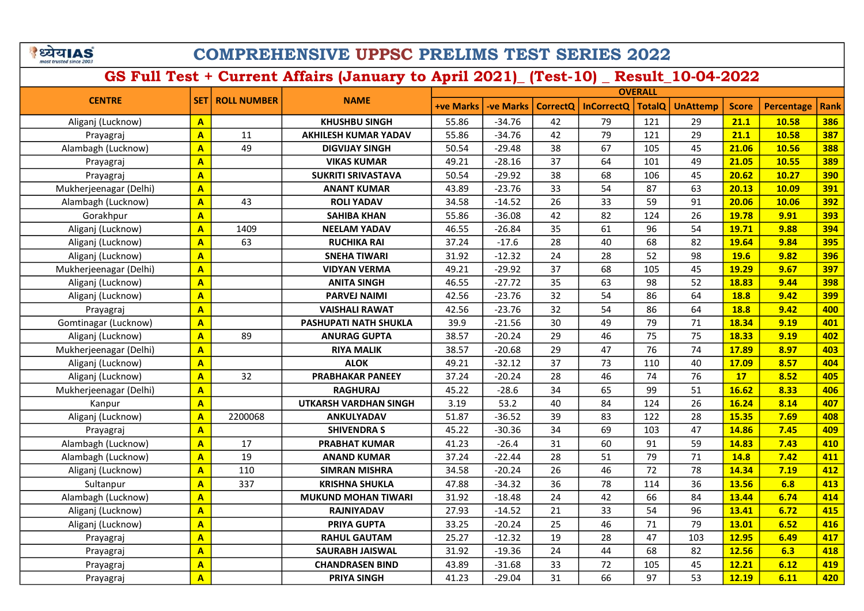## COMPREHENSIVE UPPSC PRELIMS TEST SERIES 2022

| <b>CENTRE</b>          |                         |                                   |                              |                  |                 |                   |               | <b>OVERALL</b>  |              |            |             |     |  |  |
|------------------------|-------------------------|-----------------------------------|------------------------------|------------------|-----------------|-------------------|---------------|-----------------|--------------|------------|-------------|-----|--|--|
|                        | <b>SET</b>              | <b>NAME</b><br><b>ROLL NUMBER</b> | <b>+ve Marks</b>             | <b>-ve Marks</b> | <b>CorrectQ</b> | <b>InCorrectQ</b> | <b>TotalQ</b> | <b>UnAttemp</b> | <b>Score</b> | Percentage | <b>Rank</b> |     |  |  |
| Aliganj (Lucknow)      | A                       |                                   | <b>KHUSHBU SINGH</b>         | 55.86            | $-34.76$        | 42                | 79            | 121             | 29           | 21.1       | 10.58       | 386 |  |  |
| Prayagraj              | $\overline{\mathbf{A}}$ | 11                                | <b>AKHILESH KUMAR YADAV</b>  | 55.86            | $-34.76$        | 42                | 79            | 121             | 29           | 21.1       | 10.58       | 387 |  |  |
| Alambagh (Lucknow)     | $\overline{\mathbf{A}}$ | 49                                | <b>DIGVIJAY SINGH</b>        | 50.54            | $-29.48$        | 38                | 67            | 105             | 45           | 21.06      | 10.56       | 388 |  |  |
| Prayagraj              | $\overline{\mathbf{A}}$ |                                   | <b>VIKAS KUMAR</b>           | 49.21            | $-28.16$        | 37                | 64            | 101             | 49           | 21.05      | 10.55       | 389 |  |  |
| Prayagraj              | $\overline{\mathbf{A}}$ |                                   | <b>SUKRITI SRIVASTAVA</b>    | 50.54            | $-29.92$        | 38                | 68            | 106             | 45           | 20.62      | 10.27       | 390 |  |  |
| Mukherjeenagar (Delhi) | $\overline{\mathbf{A}}$ |                                   | <b>ANANT KUMAR</b>           | 43.89            | $-23.76$        | 33                | 54            | 87              | 63           | 20.13      | 10.09       | 391 |  |  |
| Alambagh (Lucknow)     | $\mathbf{A}$            | 43                                | <b>ROLI YADAV</b>            | 34.58            | $-14.52$        | 26                | 33            | 59              | 91           | 20.06      | 10.06       | 392 |  |  |
| Gorakhpur              | $\overline{\mathbf{A}}$ |                                   | <b>SAHIBA KHAN</b>           | 55.86            | $-36.08$        | 42                | 82            | 124             | 26           | 19.78      | 9.91        | 393 |  |  |
| Aliganj (Lucknow)      | $\mathbf{A}$            | 1409                              | <b>NEELAM YADAV</b>          | 46.55            | $-26.84$        | 35                | 61            | 96              | 54           | 19.71      | 9.88        | 394 |  |  |
| Aliganj (Lucknow)      | $\mathbf{A}$            | 63                                | <b>RUCHIKA RAI</b>           | 37.24            | $-17.6$         | 28                | 40            | 68              | 82           | 19.64      | 9.84        | 395 |  |  |
| Aliganj (Lucknow)      | $\mathbf{A}$            |                                   | <b>SNEHA TIWARI</b>          | 31.92            | $-12.32$        | 24                | 28            | 52              | 98           | 19.6       | 9.82        | 396 |  |  |
| Mukherjeenagar (Delhi) | $\overline{A}$          |                                   | <b>VIDYAN VERMA</b>          | 49.21            | $-29.92$        | 37                | 68            | 105             | 45           | 19.29      | 9.67        | 397 |  |  |
| Aliganj (Lucknow)      | $\overline{A}$          |                                   | <b>ANITA SINGH</b>           | 46.55            | $-27.72$        | 35                | 63            | 98              | 52           | 18.83      | 9.44        | 398 |  |  |
| Aliganj (Lucknow)      | A                       |                                   | <b>PARVEJ NAIMI</b>          | 42.56            | $-23.76$        | 32                | 54            | 86              | 64           | 18.8       | 9.42        | 399 |  |  |
| Prayagraj              | $\overline{\mathbf{A}}$ |                                   | <b>VAISHALI RAWAT</b>        | 42.56            | $-23.76$        | 32                | 54            | 86              | 64           | 18.8       | 9.42        | 400 |  |  |
| Gomtinagar (Lucknow)   | $\overline{A}$          |                                   | PASHUPATI NATH SHUKLA        | 39.9             | $-21.56$        | 30                | 49            | 79              | 71           | 18.34      | 9.19        | 401 |  |  |
| Aliganj (Lucknow)      | A                       | 89                                | <b>ANURAG GUPTA</b>          | 38.57            | $-20.24$        | 29                | 46            | 75              | 75           | 18.33      | 9.19        | 402 |  |  |
| Mukherjeenagar (Delhi) | A                       |                                   | <b>RIYA MALIK</b>            | 38.57            | $-20.68$        | 29                | 47            | 76              | 74           | 17.89      | 8.97        | 403 |  |  |
| Aliganj (Lucknow)      | A                       |                                   | <b>ALOK</b>                  | 49.21            | $-32.12$        | 37                | 73            | 110             | 40           | 17.09      | 8.57        | 404 |  |  |
| Aliganj (Lucknow)      | A                       | 32                                | <b>PRABHAKAR PANEEY</b>      | 37.24            | $-20.24$        | 28                | 46            | 74              | 76           | 17         | 8.52        | 405 |  |  |
| Mukherjeenagar (Delhi) | $\overline{\mathsf{A}}$ |                                   | <b>RAGHURAJ</b>              | 45.22            | $-28.6$         | 34                | 65            | 99              | 51           | 16.62      | 8.33        | 406 |  |  |
| Kanpur                 | $\overline{\mathbf{A}}$ |                                   | <b>UTKARSH VARDHAN SINGH</b> | 3.19             | 53.2            | 40                | 84            | 124             | 26           | 16.24      | 8.14        | 407 |  |  |
| Aliganj (Lucknow)      | A                       | 2200068                           | ANKULYADAV                   | 51.87            | $-36.52$        | 39                | 83            | 122             | 28           | 15.35      | 7.69        | 408 |  |  |
| Prayagraj              | $\mathbf{A}$            |                                   | <b>SHIVENDRAS</b>            | 45.22            | $-30.36$        | 34                | 69            | 103             | 47           | 14.86      | 7.45        | 409 |  |  |
| Alambagh (Lucknow)     | $\overline{A}$          | 17                                | <b>PRABHAT KUMAR</b>         | 41.23            | $-26.4$         | 31                | 60            | 91              | 59           | 14.83      | 7.43        | 410 |  |  |
| Alambagh (Lucknow)     | $\overline{\mathbf{A}}$ | 19                                | <b>ANAND KUMAR</b>           | 37.24            | $-22.44$        | 28                | 51            | 79              | 71           | 14.8       | 7.42        | 411 |  |  |
| Aliganj (Lucknow)      | A                       | 110                               | <b>SIMRAN MISHRA</b>         | 34.58            | $-20.24$        | 26                | 46            | 72              | 78           | 14.34      | 7.19        | 412 |  |  |
| Sultanpur              | $\mathbf{A}$            | 337                               | <b>KRISHNA SHUKLA</b>        | 47.88            | $-34.32$        | 36                | 78            | 114             | 36           | 13.56      | 6.8         | 413 |  |  |
| Alambagh (Lucknow)     | $\overline{\mathbf{A}}$ |                                   | <b>MUKUND MOHAN TIWARI</b>   | 31.92            | $-18.48$        | 24                | 42            | 66              | 84           | 13.44      | 6.74        | 414 |  |  |
| Aliganj (Lucknow)      | $\overline{\mathbf{A}}$ |                                   | <b>RAJNIYADAV</b>            | 27.93            | $-14.52$        | 21                | 33            | 54              | 96           | 13.41      | 6.72        | 415 |  |  |
| Aliganj (Lucknow)      | $\overline{\mathbf{A}}$ |                                   | <b>PRIYA GUPTA</b>           | 33.25            | $-20.24$        | 25                | 46            | 71              | 79           | 13.01      | 6.52        | 416 |  |  |
| Prayagraj              | $\overline{\mathbf{A}}$ |                                   | <b>RAHUL GAUTAM</b>          | 25.27            | $-12.32$        | 19                | 28            | 47              | 103          | 12.95      | 6.49        | 417 |  |  |
| Prayagraj              | $\overline{\mathbf{A}}$ |                                   | <b>SAURABH JAISWAL</b>       | 31.92            | $-19.36$        | 24                | 44            | 68              | 82           | 12.56      | 6.3         | 418 |  |  |
| Prayagraj              | A                       |                                   | <b>CHANDRASEN BIND</b>       | 43.89            | $-31.68$        | 33                | 72            | 105             | 45           | 12.21      | 6.12        | 419 |  |  |
| Prayagraj              | A                       |                                   | <b>PRIYA SINGH</b>           | 41.23            | $-29.04$        | 31                | 66            | 97              | 53           | 12.19      | 6.11        | 420 |  |  |